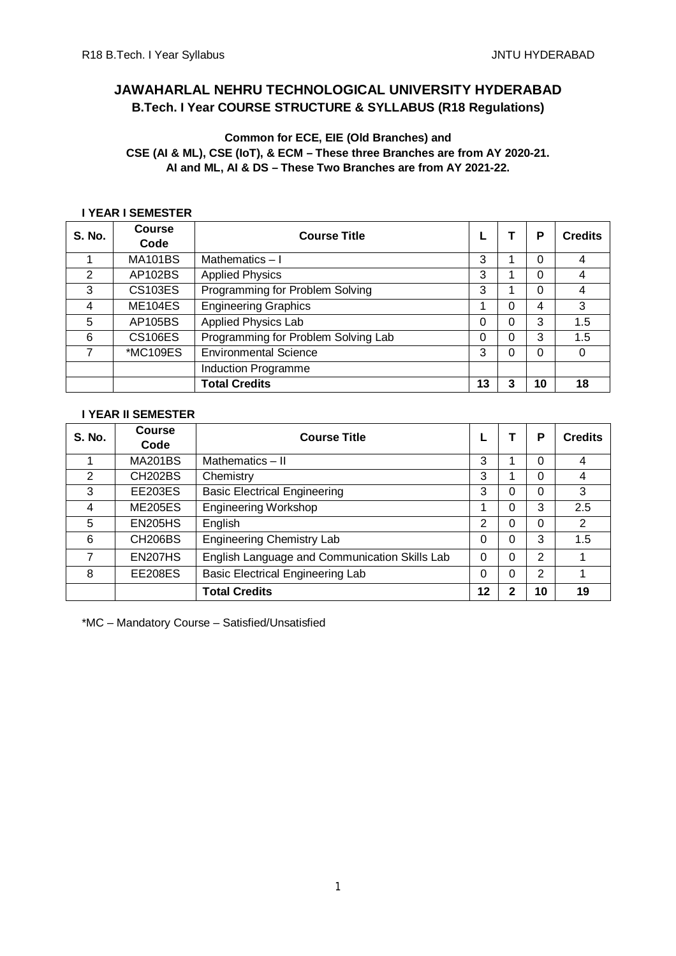# **JAWAHARLAL NEHRU TECHNOLOGICAL UNIVERSITY HYDERABAD B.Tech. I Year COURSE STRUCTURE & SYLLABUS (R18 Regulations)**

# **Common for ECE, EIE (Old Branches) and CSE (AI & ML), CSE (IoT), & ECM – These three Branches are from AY 2020-21. AI and ML, AI & DS – These Two Branches are from AY 2021-22.**

# **I YEAR I SEMESTER**

| S. No.         | <b>Course</b><br>Code | <b>Course Title</b>                 |    |   | Р  | <b>Credits</b> |
|----------------|-----------------------|-------------------------------------|----|---|----|----------------|
|                |                       |                                     |    |   |    |                |
|                | <b>MA101BS</b>        | Mathematics $-1$                    | 3  |   | 0  | 4              |
| $\overline{2}$ | AP102BS               | <b>Applied Physics</b>              | 3  |   | 0  | 4              |
| 3              | <b>CS103ES</b>        | Programming for Problem Solving     | 3  |   | 0  | 4              |
| 4              | <b>ME104ES</b>        | <b>Engineering Graphics</b>         |    | 0 | 4  | 3              |
| 5              | AP105BS               | <b>Applied Physics Lab</b>          | 0  | 0 | 3  | 1.5            |
| 6              | <b>CS106ES</b>        | Programming for Problem Solving Lab | 0  | 0 | 3  | 1.5            |
| 7              | *MC109ES              | <b>Environmental Science</b>        | 3  |   | 0  | 0              |
|                |                       | Induction Programme                 |    |   |    |                |
|                |                       | <b>Total Credits</b>                | 13 | 3 | 10 | 18             |

## **I YEAR II SEMESTER**

| S. No. | <b>Course</b>        | <b>Course Title</b>                           |    |   | P              | <b>Credits</b> |
|--------|----------------------|-----------------------------------------------|----|---|----------------|----------------|
|        | Code                 |                                               |    |   |                |                |
|        | <b>MA201BS</b>       | Mathematics $-$ II                            | 3  |   | 0              | 4              |
| 2      | <b>CH202BS</b>       | Chemistry                                     | 3  |   | 0              | 4              |
| 3      | <b>EE203ES</b>       | <b>Basic Electrical Engineering</b>           | 3  | 0 | 0              | 3              |
| 4      | <b>ME205ES</b>       | <b>Engineering Workshop</b>                   |    | 0 | 3              | 2.5            |
| 5      | <b>EN205HS</b>       | English                                       | 2  | ი | 0              | 2              |
| 6      | CH <sub>206</sub> BS | <b>Engineering Chemistry Lab</b>              | 0  | 0 | 3              | 1.5            |
| 7      | <b>EN207HS</b>       | English Language and Communication Skills Lab | 0  | 0 | $\overline{2}$ |                |
| 8      | EE208ES              | <b>Basic Electrical Engineering Lab</b>       | 0  | 0 | 2              |                |
|        |                      | <b>Total Credits</b>                          | 12 | າ | 10             | 19             |

\*MC – Mandatory Course – Satisfied/Unsatisfied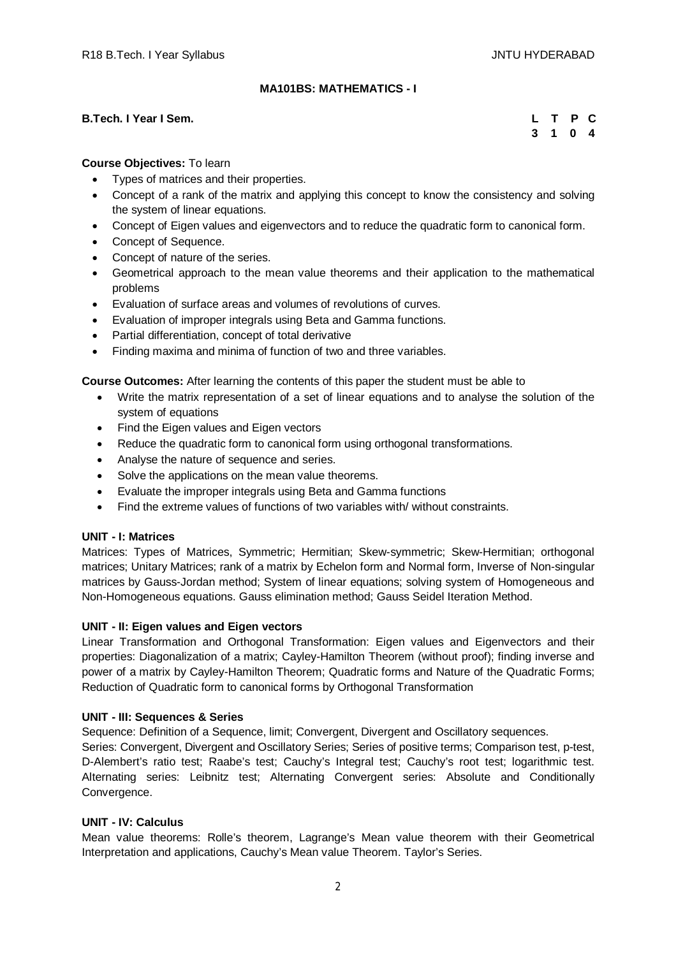# **MA101BS: MATHEMATICS - I**

## **B.Tech. I Year I Sem.**

|  | L T P C |  |
|--|---------|--|
|  | 3 1 0 4 |  |

# **Course Objectives:** To learn

- Types of matrices and their properties.
- Concept of a rank of the matrix and applying this concept to know the consistency and solving the system of linear equations.
- Concept of Eigen values and eigenvectors and to reduce the quadratic form to canonical form.
- Concept of Sequence.
- Concept of nature of the series.
- Geometrical approach to the mean value theorems and their application to the mathematical problems
- Evaluation of surface areas and volumes of revolutions of curves.
- Evaluation of improper integrals using Beta and Gamma functions.
- Partial differentiation, concept of total derivative
- Finding maxima and minima of function of two and three variables.

**Course Outcomes:** After learning the contents of this paper the student must be able to

- Write the matrix representation of a set of linear equations and to analyse the solution of the system of equations
- Find the Eigen values and Eigen vectors
- Reduce the quadratic form to canonical form using orthogonal transformations.
- Analyse the nature of sequence and series.
- Solve the applications on the mean value theorems.
- Evaluate the improper integrals using Beta and Gamma functions
- Find the extreme values of functions of two variables with/ without constraints.

# **UNIT - I: Matrices**

Matrices: Types of Matrices, Symmetric; Hermitian; Skew-symmetric; Skew-Hermitian; orthogonal matrices; Unitary Matrices; rank of a matrix by Echelon form and Normal form, Inverse of Non-singular matrices by Gauss-Jordan method; System of linear equations; solving system of Homogeneous and Non-Homogeneous equations. Gauss elimination method; Gauss Seidel Iteration Method.

# **UNIT - II: Eigen values and Eigen vectors**

Linear Transformation and Orthogonal Transformation: Eigen values and Eigenvectors and their properties: Diagonalization of a matrix; Cayley-Hamilton Theorem (without proof); finding inverse and power of a matrix by Cayley-Hamilton Theorem; Quadratic forms and Nature of the Quadratic Forms; Reduction of Quadratic form to canonical forms by Orthogonal Transformation

# **UNIT - III: Sequences & Series**

Sequence: Definition of a Sequence, limit; Convergent, Divergent and Oscillatory sequences.

Series: Convergent, Divergent and Oscillatory Series; Series of positive terms; Comparison test, p-test, D-Alembert's ratio test; Raabe's test; Cauchy's Integral test; Cauchy's root test; logarithmic test. Alternating series: Leibnitz test; Alternating Convergent series: Absolute and Conditionally Convergence.

# **UNIT - IV: Calculus**

Mean value theorems: Rolle's theorem, Lagrange's Mean value theorem with their Geometrical Interpretation and applications, Cauchy's Mean value Theorem. Taylor's Series.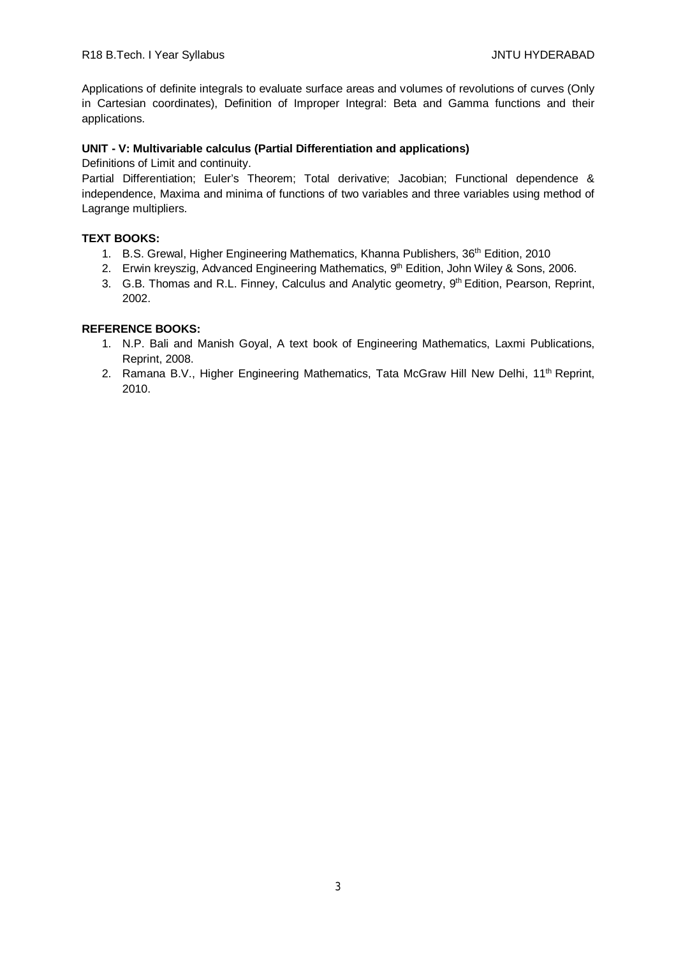Applications of definite integrals to evaluate surface areas and volumes of revolutions of curves (Only in Cartesian coordinates), Definition of Improper Integral: Beta and Gamma functions and their applications.

# **UNIT - V: Multivariable calculus (Partial Differentiation and applications)**

Definitions of Limit and continuity.

Partial Differentiation; Euler's Theorem; Total derivative; Jacobian; Functional dependence & independence, Maxima and minima of functions of two variables and three variables using method of Lagrange multipliers.

# **TEXT BOOKS:**

- 1. B.S. Grewal, Higher Engineering Mathematics, Khanna Publishers, 36<sup>th</sup> Edition, 2010
- 2. Erwin kreyszig, Advanced Engineering Mathematics, 9<sup>th</sup> Edition, John Wiley & Sons, 2006.
- 3. G.B. Thomas and R.L. Finney, Calculus and Analytic geometry, 9<sup>th</sup> Edition, Pearson, Reprint, 2002.

- 1. N.P. Bali and Manish Goyal, A text book of Engineering Mathematics, Laxmi Publications, Reprint, 2008.
- 2. Ramana B.V., Higher Engineering Mathematics, Tata McGraw Hill New Delhi, 11<sup>th</sup> Reprint, 2010.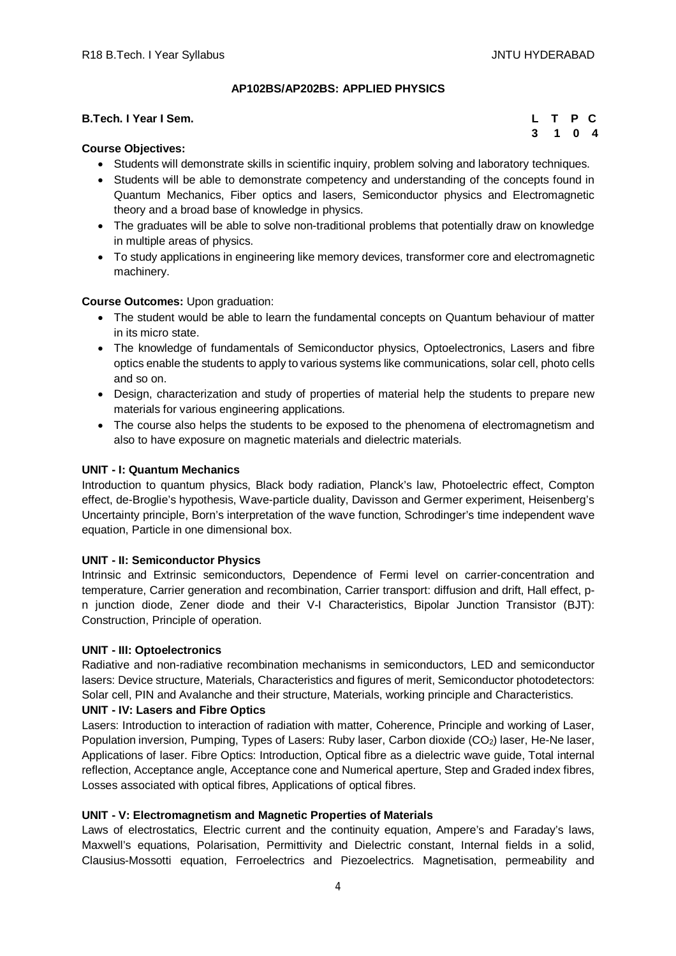# **AP102BS/AP202BS: APPLIED PHYSICS**

| <b>B.Tech. I Year I Sem.</b> | L T P C |  |  |
|------------------------------|---------|--|--|
| $\sim$<br>_ _ _              | 3 1 0 4 |  |  |

## **Course Objectives:**

- Students will demonstrate skills in scientific inquiry, problem solving and laboratory techniques.
- Students will be able to demonstrate competency and understanding of the concepts found in Quantum Mechanics, Fiber optics and lasers, Semiconductor physics and Electromagnetic theory and a broad base of knowledge in physics.
- The graduates will be able to solve non-traditional problems that potentially draw on knowledge in multiple areas of physics.
- To study applications in engineering like memory devices, transformer core and electromagnetic machinery.

## **Course Outcomes:** Upon graduation:

- The student would be able to learn the fundamental concepts on Quantum behaviour of matter in its micro state.
- The knowledge of fundamentals of Semiconductor physics, Optoelectronics, Lasers and fibre optics enable the students to apply to various systems like communications, solar cell, photo cells and so on.
- Design, characterization and study of properties of material help the students to prepare new materials for various engineering applications.
- The course also helps the students to be exposed to the phenomena of electromagnetism and also to have exposure on magnetic materials and dielectric materials.

## **UNIT - I: Quantum Mechanics**

Introduction to quantum physics, Black body radiation, Planck's law, Photoelectric effect, Compton effect, de-Broglie's hypothesis, Wave-particle duality, Davisson and Germer experiment, Heisenberg's Uncertainty principle, Born's interpretation of the wave function, Schrodinger's time independent wave equation, Particle in one dimensional box.

#### **UNIT - II: Semiconductor Physics**

Intrinsic and Extrinsic semiconductors, Dependence of Fermi level on carrier-concentration and temperature, Carrier generation and recombination, Carrier transport: diffusion and drift, Hall effect, pn junction diode, Zener diode and their V-I Characteristics, Bipolar Junction Transistor (BJT): Construction, Principle of operation.

#### **UNIT - III: Optoelectronics**

Radiative and non-radiative recombination mechanisms in semiconductors, LED and semiconductor lasers: Device structure, Materials, Characteristics and figures of merit, Semiconductor photodetectors: Solar cell, PIN and Avalanche and their structure, Materials, working principle and Characteristics.

#### **UNIT - IV: Lasers and Fibre Optics**

Lasers: Introduction to interaction of radiation with matter, Coherence, Principle and working of Laser, Population inversion, Pumping, Types of Lasers: Ruby laser, Carbon dioxide (CO<sub>2</sub>) laser, He-Ne laser, Applications of laser. Fibre Optics: Introduction, Optical fibre as a dielectric wave guide, Total internal reflection, Acceptance angle, Acceptance cone and Numerical aperture, Step and Graded index fibres, Losses associated with optical fibres, Applications of optical fibres.

# **UNIT - V: Electromagnetism and Magnetic Properties of Materials**

Laws of electrostatics, Electric current and the continuity equation, Ampere's and Faraday's laws, Maxwell's equations, Polarisation, Permittivity and Dielectric constant, Internal fields in a solid, Clausius-Mossotti equation, Ferroelectrics and Piezoelectrics. Magnetisation, permeability and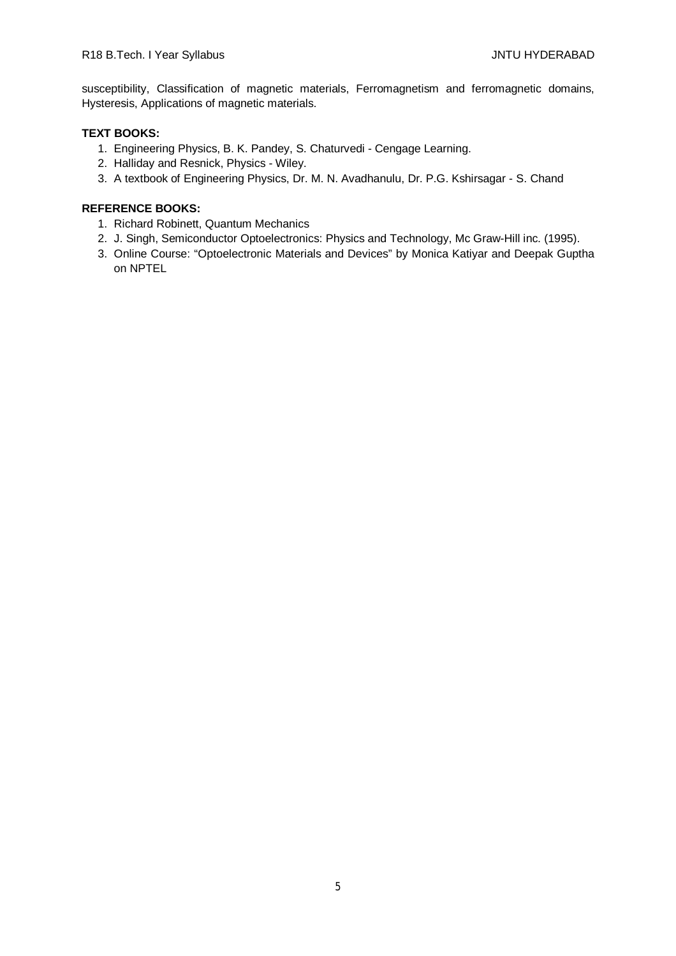susceptibility, Classification of magnetic materials, Ferromagnetism and ferromagnetic domains, Hysteresis, Applications of magnetic materials.

# **TEXT BOOKS:**

- 1. Engineering Physics, B. K. Pandey, S. Chaturvedi Cengage Learning.
- 2. Halliday and Resnick, Physics Wiley.
- 3. A textbook of Engineering Physics, Dr. M. N. Avadhanulu, Dr. P.G. Kshirsagar S. Chand

- 1. Richard Robinett, Quantum Mechanics
- 2. J. Singh, Semiconductor Optoelectronics: Physics and Technology, Mc Graw-Hill inc. (1995).
- 3. Online Course: "Optoelectronic Materials and Devices" by Monica Katiyar and Deepak Guptha on NPTEL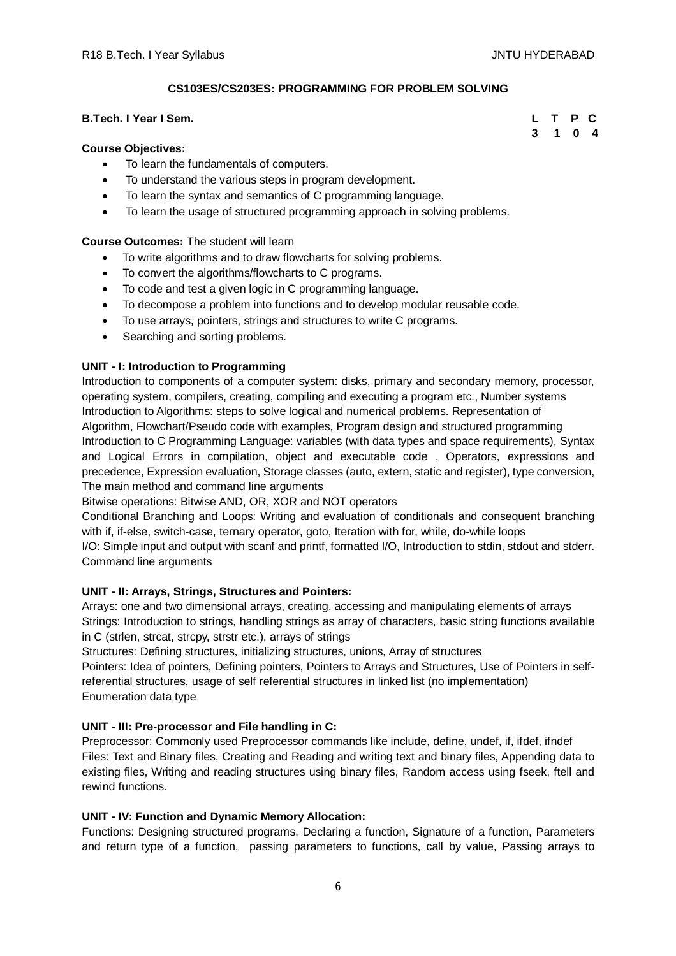# **CS103ES/CS203ES: PROGRAMMING FOR PROBLEM SOLVING**

# **B.Tech. I Year I Sem.**

#### **Course Objectives:**

- To learn the fundamentals of computers.
- To understand the various steps in program development.
- To learn the syntax and semantics of C programming language.
- To learn the usage of structured programming approach in solving problems.

# **Course Outcomes:** The student will learn

- To write algorithms and to draw flowcharts for solving problems.
- To convert the algorithms/flowcharts to C programs.
- To code and test a given logic in C programming language.
- To decompose a problem into functions and to develop modular reusable code.
- To use arrays, pointers, strings and structures to write C programs.
- Searching and sorting problems.

## **UNIT - I: Introduction to Programming**

Introduction to components of a computer system: disks, primary and secondary memory, processor, operating system, compilers, creating, compiling and executing a program etc., Number systems Introduction to Algorithms: steps to solve logical and numerical problems. Representation of Algorithm, Flowchart/Pseudo code with examples, Program design and structured programming Introduction to C Programming Language: variables (with data types and space requirements), Syntax and Logical Errors in compilation, object and executable code , Operators, expressions and precedence, Expression evaluation, Storage classes (auto, extern, static and register), type conversion, The main method and command line arguments

Bitwise operations: Bitwise AND, OR, XOR and NOT operators

Conditional Branching and Loops: Writing and evaluation of conditionals and consequent branching with if, if-else, switch-case, ternary operator, goto, Iteration with for, while, do-while loops I/O: Simple input and output with scanf and printf, formatted I/O, Introduction to stdin, stdout and stderr.

Command line arguments

## **UNIT - II: Arrays, Strings, Structures and Pointers:**

Arrays: one and two dimensional arrays, creating, accessing and manipulating elements of arrays Strings: Introduction to strings, handling strings as array of characters, basic string functions available in C (strlen, strcat, strcpy, strstr etc.), arrays of strings

Structures: Defining structures, initializing structures, unions, Array of structures

Pointers: Idea of pointers, Defining pointers, Pointers to Arrays and Structures, Use of Pointers in selfreferential structures, usage of self referential structures in linked list (no implementation) Enumeration data type

#### **UNIT - III: Pre-processor and File handling in C:**

Preprocessor: Commonly used Preprocessor commands like include, define, undef, if, ifdef, ifndef Files: Text and Binary files, Creating and Reading and writing text and binary files, Appending data to existing files, Writing and reading structures using binary files, Random access using fseek, ftell and rewind functions.

# **UNIT - IV: Function and Dynamic Memory Allocation:**

Functions: Designing structured programs, Declaring a function, Signature of a function, Parameters and return type of a function, passing parameters to functions, call by value, Passing arrays to

|  | L T P C |  |
|--|---------|--|
|  | 3 1 0 4 |  |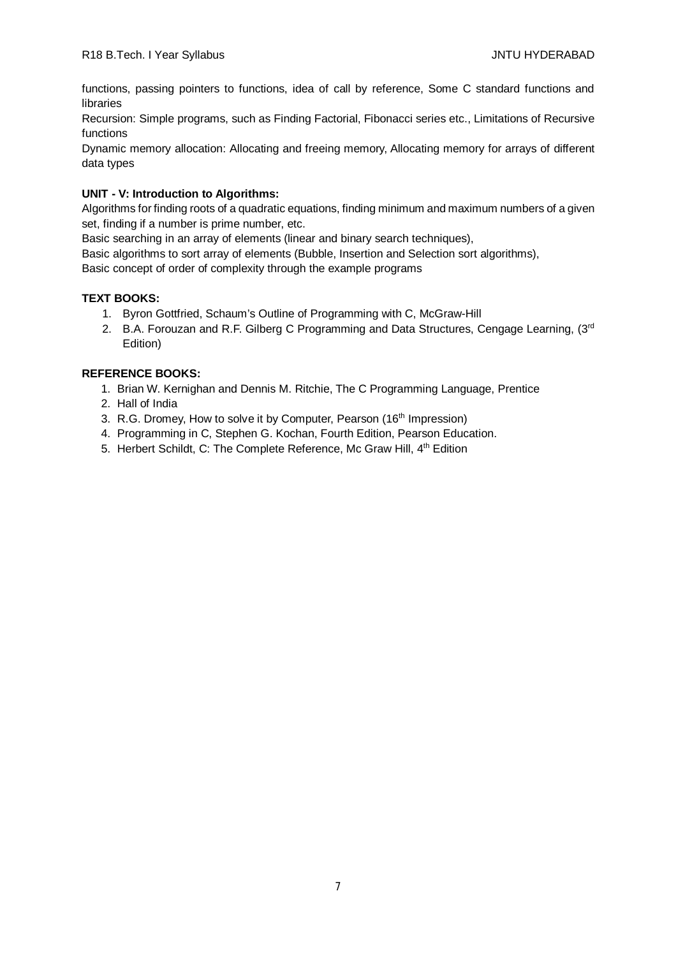functions, passing pointers to functions, idea of call by reference, Some C standard functions and libraries

Recursion: Simple programs, such as Finding Factorial, Fibonacci series etc., Limitations of Recursive functions

Dynamic memory allocation: Allocating and freeing memory, Allocating memory for arrays of different data types

# **UNIT - V: Introduction to Algorithms:**

Algorithms for finding roots of a quadratic equations, finding minimum and maximum numbers of a given set, finding if a number is prime number, etc.

Basic searching in an array of elements (linear and binary search techniques),

Basic algorithms to sort array of elements (Bubble, Insertion and Selection sort algorithms),

Basic concept of order of complexity through the example programs

# **TEXT BOOKS:**

- 1. Byron Gottfried, Schaum's Outline of Programming with C, McGraw-Hill
- 2. B.A. Forouzan and R.F. Gilberg C Programming and Data Structures, Cengage Learning, (3rd Edition)

- 1. Brian W. Kernighan and Dennis M. Ritchie, The C Programming Language, Prentice
- 2. Hall of India
- 3. R.G. Dromey, How to solve it by Computer, Pearson (16<sup>th</sup> Impression)
- 4. Programming in C, Stephen G. Kochan, Fourth Edition, Pearson Education.
- 5. Herbert Schildt, C: The Complete Reference, Mc Graw Hill, 4<sup>th</sup> Edition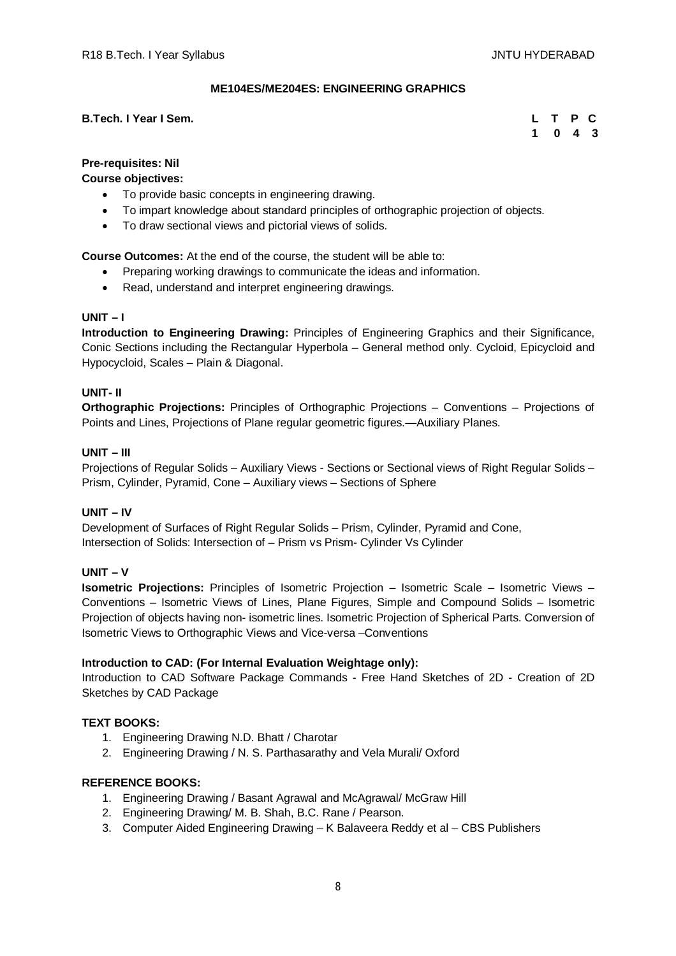# **ME104ES/ME204ES: ENGINEERING GRAPHICS**

# **B.Tech. I Year I Sem.**

|  | L T P C                     |  |
|--|-----------------------------|--|
|  | $1 \quad 0 \quad 4 \quad 3$ |  |

# **Pre-requisites: Nil**

**Course objectives:**

- To provide basic concepts in engineering drawing.
- To impart knowledge about standard principles of orthographic projection of objects.
- To draw sectional views and pictorial views of solids.

**Course Outcomes:** At the end of the course, the student will be able to:

- Preparing working drawings to communicate the ideas and information.
- Read, understand and interpret engineering drawings.

# **UNIT – I**

**Introduction to Engineering Drawing:** Principles of Engineering Graphics and their Significance, Conic Sections including the Rectangular Hyperbola – General method only. Cycloid, Epicycloid and Hypocycloid, Scales – Plain & Diagonal.

## **UNIT- II**

**Orthographic Projections:** Principles of Orthographic Projections – Conventions – Projections of Points and Lines, Projections of Plane regular geometric figures.—Auxiliary Planes.

## **UNIT – III**

Projections of Regular Solids – Auxiliary Views - Sections or Sectional views of Right Regular Solids – Prism, Cylinder, Pyramid, Cone – Auxiliary views – Sections of Sphere

# **UNIT – IV**

Development of Surfaces of Right Regular Solids – Prism, Cylinder, Pyramid and Cone, Intersection of Solids: Intersection of – Prism vs Prism- Cylinder Vs Cylinder

# **UNIT – V**

**Isometric Projections:** Principles of Isometric Projection – Isometric Scale – Isometric Views – Conventions – Isometric Views of Lines, Plane Figures, Simple and Compound Solids – Isometric Projection of objects having non- isometric lines. Isometric Projection of Spherical Parts. Conversion of Isometric Views to Orthographic Views and Vice-versa –Conventions

#### **Introduction to CAD: (For Internal Evaluation Weightage only):**

Introduction to CAD Software Package Commands - Free Hand Sketches of 2D - Creation of 2D Sketches by CAD Package

# **TEXT BOOKS:**

- 1. Engineering Drawing N.D. Bhatt / Charotar
- 2. Engineering Drawing / N. S. Parthasarathy and Vela Murali/ Oxford

- 1. Engineering Drawing / Basant Agrawal and McAgrawal/ McGraw Hill
- 2. Engineering Drawing/ M. B. Shah, B.C. Rane / Pearson.
- 3. Computer Aided Engineering Drawing K Balaveera Reddy et al CBS Publishers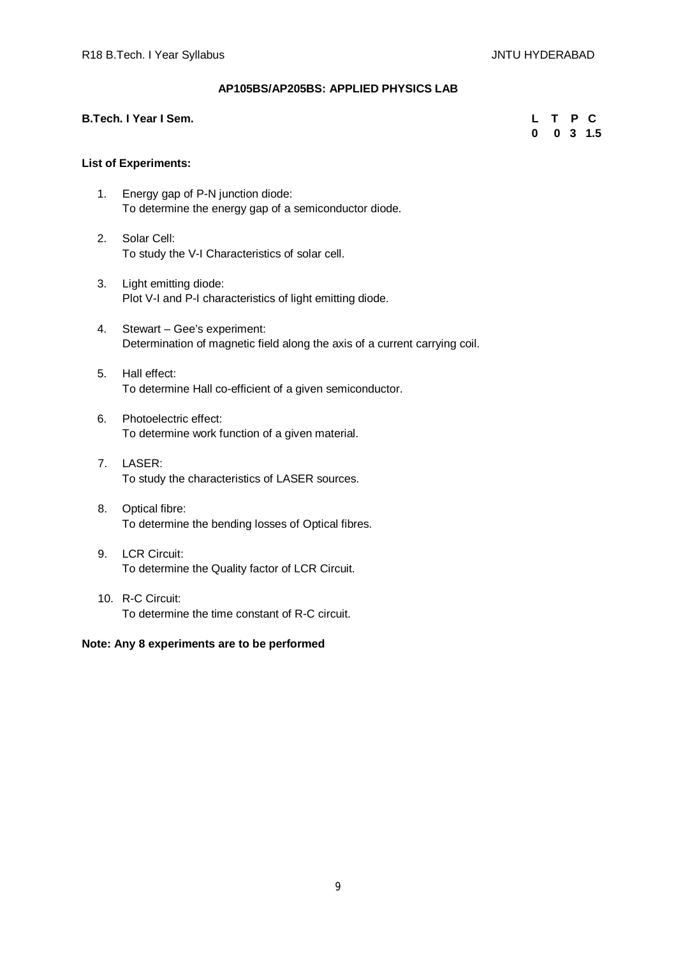# **AP105BS/AP205BS: APPLIED PHYSICS LAB**

## **B.Tech. I Year I Sem.**

|  |  | L T P C              |
|--|--|----------------------|
|  |  | $0 \t 0 \t 3 \t 1.5$ |

# **List of Experiments:**

- 1. Energy gap of P-N junction diode: To determine the energy gap of a semiconductor diode.
- 2. Solar Cell: To study the V-I Characteristics of solar cell.
- 3. Light emitting diode: Plot V-I and P-I characteristics of light emitting diode.
- 4. Stewart Gee's experiment: Determination of magnetic field along the axis of a current carrying coil.
- 5. Hall effect: To determine Hall co-efficient of a given semiconductor.
- 6. Photoelectric effect: To determine work function of a given material.
- 7. LASER: To study the characteristics of LASER sources.
- 8. Optical fibre: To determine the bending losses of Optical fibres.
- 9. LCR Circuit: To determine the Quality factor of LCR Circuit.
- 10. R-C Circuit: To determine the time constant of R-C circuit.

# **Note: Any 8 experiments are to be performed**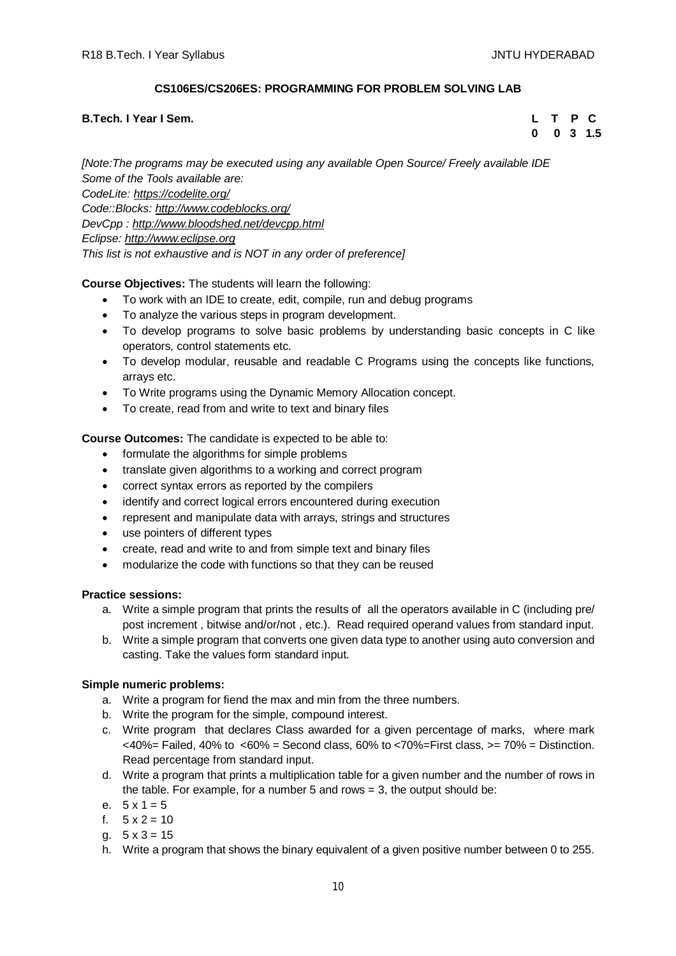# **CS106ES/CS206ES: PROGRAMMING FOR PROBLEM SOLVING LAB**

# **B.Tech. I Year I Sem. L T P C**

 **0 0 3 1.5**

*[Note:The programs may be executed using any available Open Source/ Freely available IDE Some of the Tools available are: CodeLite: <https://codelite.org/> Code::Blocks: <http://www.codeblocks.org/> DevCpp : <http://www.bloodshed.net/devcpp.html> Eclipse: <http://www.eclipse.org> This list is not exhaustive and is NOT in any order of preference]*

# **Course Objectives:** The students will learn the following:

- To work with an IDE to create, edit, compile, run and debug programs
- To analyze the various steps in program development.
- To develop programs to solve basic problems by understanding basic concepts in C like operators, control statements etc.
- To develop modular, reusable and readable C Programs using the concepts like functions, arrays etc.
- To Write programs using the Dynamic Memory Allocation concept.
- To create, read from and write to text and binary files

# **Course Outcomes:** The candidate is expected to be able to:

- formulate the algorithms for simple problems
- translate given algorithms to a working and correct program
- correct syntax errors as reported by the compilers
- identify and correct logical errors encountered during execution
- represent and manipulate data with arrays, strings and structures
- use pointers of different types
- create, read and write to and from simple text and binary files
- modularize the code with functions so that they can be reused

# **Practice sessions:**

- a. Write a simple program that prints the results of all the operators available in C (including pre/ post increment , bitwise and/or/not , etc.). Read required operand values from standard input.
- b. Write a simple program that converts one given data type to another using auto conversion and casting. Take the values form standard input.

# **Simple numeric problems:**

- a. Write a program for fiend the max and min from the three numbers.
- b. Write the program for the simple, compound interest.
- c. Write program that declares Class awarded for a given percentage of marks, where mark  $<40\%$  = Failed, 40% to  $<60\%$  = Second class, 60% to  $<70\%$  = First class,  $>=70\%$  = Distinction. Read percentage from standard input.
- d. Write a program that prints a multiplication table for a given number and the number of rows in the table. For example, for a number 5 and rows  $= 3$ , the output should be:
- e.  $5 \times 1 = 5$
- f.  $5 \times 2 = 10$
- a.  $5 \times 3 = 15$
- h. Write a program that shows the binary equivalent of a given positive number between 0 to 255.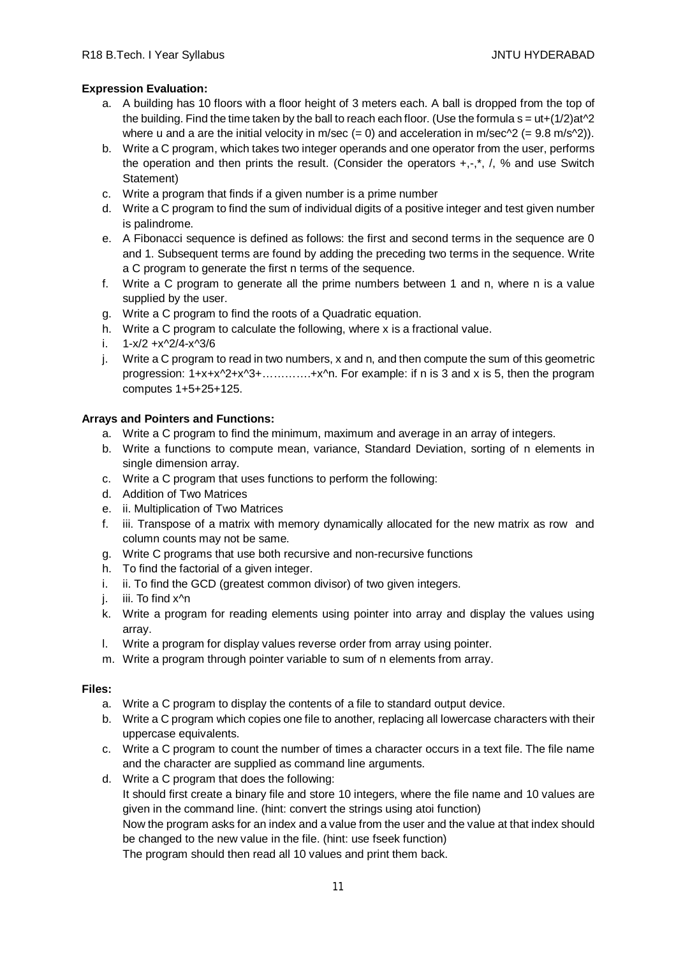# **Expression Evaluation:**

- a. A building has 10 floors with a floor height of 3 meters each. A ball is dropped from the top of the building. Find the time taken by the ball to reach each floor. (Use the formula  $s = ut+(1/2)at^2$ where u and a are the initial velocity in m/sec  $(= 0)$  and acceleration in m/sec $\gamma$ 2  $(= 9.8 \text{ m/s} \gamma$ 2)).
- b. Write a C program, which takes two integer operands and one operator from the user, performs the operation and then prints the result. (Consider the operators  $+,$ , $^*$ , $',$ , % and use Switch Statement)
- c. Write a program that finds if a given number is a prime number
- d. Write a C program to find the sum of individual digits of a positive integer and test given number is palindrome.
- e. A Fibonacci sequence is defined as follows: the first and second terms in the sequence are 0 and 1. Subsequent terms are found by adding the preceding two terms in the sequence. Write a C program to generate the first n terms of the sequence.
- f. Write a C program to generate all the prime numbers between 1 and n, where n is a value supplied by the user.
- g. Write a C program to find the roots of a Quadratic equation.
- h. Write a C program to calculate the following, where x is a fractional value.
- i.  $1-x/2 +x^2/4-x^3/6$
- j. Write a C program to read in two numbers, x and n, and then compute the sum of this geometric progression: 1+x+x^2+x^3+………….+x^n. For example: if n is 3 and x is 5, then the program computes 1+5+25+125.

# **Arrays and Pointers and Functions:**

- a. Write a C program to find the minimum, maximum and average in an array of integers.
- b. Write a functions to compute mean, variance, Standard Deviation, sorting of n elements in single dimension array.
- c. Write a C program that uses functions to perform the following:
- d. Addition of Two Matrices
- e. ii. Multiplication of Two Matrices
- f. iii. Transpose of a matrix with memory dynamically allocated for the new matrix as row and column counts may not be same.
- g. Write C programs that use both recursive and non-recursive functions
- h. To find the factorial of a given integer.
- i. ii. To find the GCD (greatest common divisor) of two given integers.
- j. iii. To find x<sup>^</sup>n
- k. Write a program for reading elements using pointer into array and display the values using array.
- l. Write a program for display values reverse order from array using pointer.
- m. Write a program through pointer variable to sum of n elements from array.

# **Files:**

- a. Write a C program to display the contents of a file to standard output device.
- b. Write a C program which copies one file to another, replacing all lowercase characters with their uppercase equivalents.
- c. Write a C program to count the number of times a character occurs in a text file. The file name and the character are supplied as command line arguments.
- d. Write a C program that does the following: It should first create a binary file and store 10 integers, where the file name and 10 values are given in the command line. (hint: convert the strings using atoi function)

Now the program asks for an index and a value from the user and the value at that index should be changed to the new value in the file. (hint: use fseek function)

The program should then read all 10 values and print them back.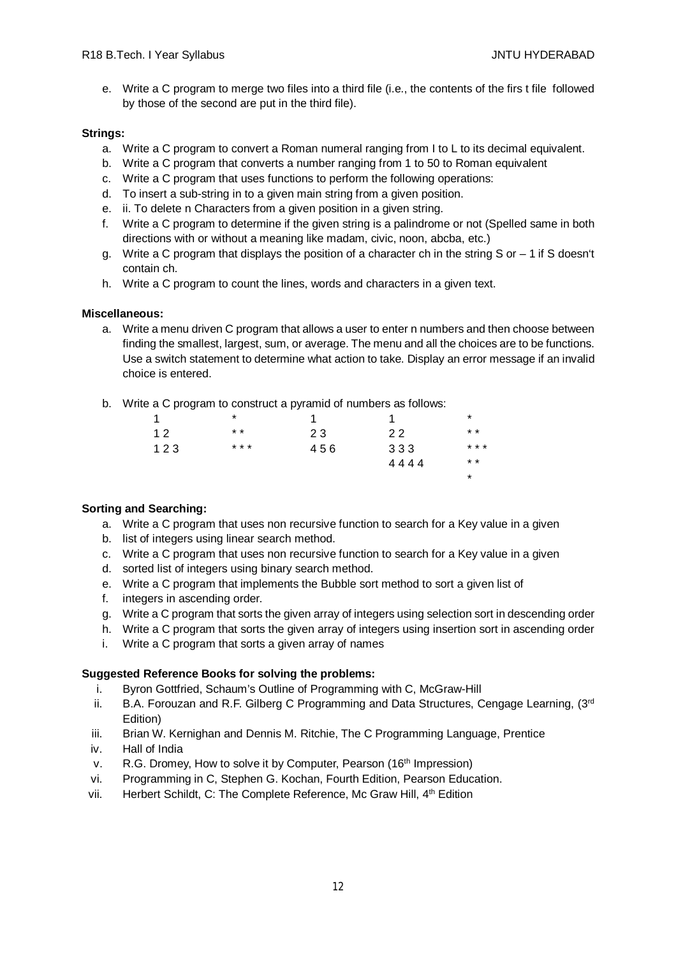e. Write a C program to merge two files into a third file (i.e., the contents of the firs t file followed by those of the second are put in the third file).

# **Strings:**

- a. Write a C program to convert a Roman numeral ranging from I to L to its decimal equivalent.
- b. Write a C program that converts a number ranging from 1 to 50 to Roman equivalent
- c. Write a C program that uses functions to perform the following operations:
- d. To insert a sub-string in to a given main string from a given position.
- e. ii. To delete n Characters from a given position in a given string.
- f. Write a C program to determine if the given string is a palindrome or not (Spelled same in both directions with or without a meaning like madam, civic, noon, abcba, etc.)
- g. Write a C program that displays the position of a character ch in the string S or  $-1$  if S doesn't contain ch.
- h. Write a C program to count the lines, words and characters in a given text.

# **Miscellaneous:**

a. Write a menu driven C program that allows a user to enter n numbers and then choose between finding the smallest, largest, sum, or average. The menu and all the choices are to be functions. Use a switch statement to determine what action to take. Display an error message if an invalid choice is entered.

\*

b. Write a C program to construct a pyramid of numbers as follows:

| 1   | $\star$ |     |      | $^\star$        |
|-----|---------|-----|------|-----------------|
| 12  | $* *$   | 23  | 22   | $\star$ $\star$ |
| 123 | * * *   | 456 | 333  | * * *           |
|     |         |     | 4444 | $* *$           |

# **Sorting and Searching:**

- a. Write a C program that uses non recursive function to search for a Key value in a given
- b. list of integers using linear search method.
- c. Write a C program that uses non recursive function to search for a Key value in a given
- d. sorted list of integers using binary search method.
- e. Write a C program that implements the Bubble sort method to sort a given list of
- f. integers in ascending order.
- g. Write a C program that sorts the given array of integers using selection sort in descending order
- h. Write a C program that sorts the given array of integers using insertion sort in ascending order
- i. Write a C program that sorts a given array of names

# **Suggested Reference Books for solving the problems:**

- i. Byron Gottfried, Schaum's Outline of Programming with C, McGraw-Hill
- ii. B.A. Forouzan and R.F. Gilberg C Programming and Data Structures, Cengage Learning,  $(3<sup>rd</sup>$ Edition)
- iii. Brian W. Kernighan and Dennis M. Ritchie, The C Programming Language, Prentice
- iv. Hall of India
- v. R.G. Dromey, How to solve it by Computer, Pearson (16<sup>th</sup> Impression)
- vi. Programming in C, Stephen G. Kochan, Fourth Edition, Pearson Education.
- vii. Herbert Schildt, C: The Complete Reference, Mc Graw Hill, 4th Edition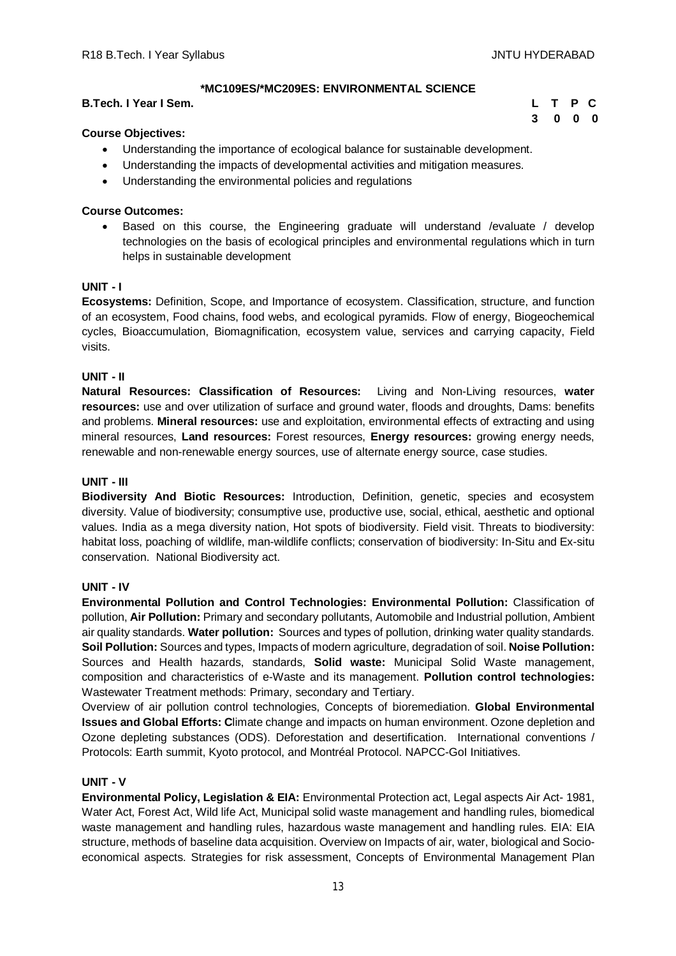**3 0 0 0**

# **\*MC109ES/\*MC209ES: ENVIRONMENTAL SCIENCE**

## **B.Tech. I Year I Sem. L T P C**

# **Course Objectives:**

- Understanding the importance of ecological balance for sustainable development.
- Understanding the impacts of developmental activities and mitigation measures.
- Understanding the environmental policies and regulations

# **Course Outcomes:**

 Based on this course, the Engineering graduate will understand /evaluate / develop technologies on the basis of ecological principles and environmental regulations which in turn helps in sustainable development

## **UNIT - I**

**Ecosystems:** Definition, Scope, and Importance of ecosystem. Classification, structure, and function of an ecosystem, Food chains, food webs, and ecological pyramids. Flow of energy, Biogeochemical cycles, Bioaccumulation, Biomagnification, ecosystem value, services and carrying capacity, Field visits.

## **UNIT - II**

**Natural Resources: Classification of Resources:** Living and Non-Living resources, **water resources:** use and over utilization of surface and ground water, floods and droughts, Dams: benefits and problems. **Mineral resources:** use and exploitation, environmental effects of extracting and using mineral resources, **Land resources:** Forest resources, **Energy resources:** growing energy needs, renewable and non-renewable energy sources, use of alternate energy source, case studies.

#### **UNIT - III**

**Biodiversity And Biotic Resources:** Introduction, Definition, genetic, species and ecosystem diversity. Value of biodiversity; consumptive use, productive use, social, ethical, aesthetic and optional values. India as a mega diversity nation, Hot spots of biodiversity. Field visit. Threats to biodiversity: habitat loss, poaching of wildlife, man-wildlife conflicts; conservation of biodiversity: In-Situ and Ex-situ conservation. National Biodiversity act.

#### **UNIT - IV**

**Environmental Pollution and Control Technologies: Environmental Pollution:** Classification of pollution, **Air Pollution:** Primary and secondary pollutants, Automobile and Industrial pollution, Ambient air quality standards. **Water pollution:** Sources and types of pollution, drinking water quality standards. **Soil Pollution:** Sources and types, Impacts of modern agriculture, degradation of soil. **Noise Pollution:**  Sources and Health hazards, standards, **Solid waste:** Municipal Solid Waste management, composition and characteristics of e-Waste and its management. **Pollution control technologies:** Wastewater Treatment methods: Primary, secondary and Tertiary.

Overview of air pollution control technologies, Concepts of bioremediation. **Global Environmental Issues and Global Efforts: C**limate change and impacts on human environment. Ozone depletion and Ozone depleting substances (ODS). Deforestation and desertification. International conventions / Protocols: Earth summit, Kyoto protocol, and Montréal Protocol. NAPCC-GoI Initiatives.

# **UNIT - V**

**Environmental Policy, Legislation & EIA:** Environmental Protection act, Legal aspects Air Act- 1981, Water Act, Forest Act, Wild life Act, Municipal solid waste management and handling rules, biomedical waste management and handling rules, hazardous waste management and handling rules. EIA: EIA structure, methods of baseline data acquisition. Overview on Impacts of air, water, biological and Socioeconomical aspects. Strategies for risk assessment, Concepts of Environmental Management Plan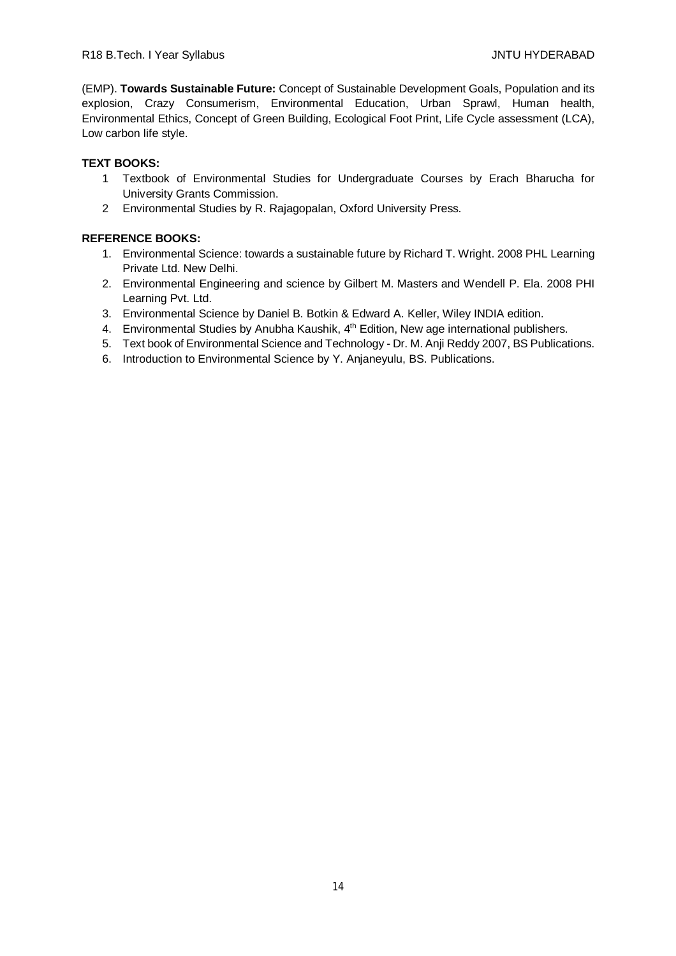(EMP). **Towards Sustainable Future:** Concept of Sustainable Development Goals, Population and its explosion, Crazy Consumerism, Environmental Education, Urban Sprawl, Human health, Environmental Ethics, Concept of Green Building, Ecological Foot Print, Life Cycle assessment (LCA), Low carbon life style.

# **TEXT BOOKS:**

- 1 Textbook of Environmental Studies for Undergraduate Courses by Erach Bharucha for University Grants Commission.
- 2 Environmental Studies by R. Rajagopalan, Oxford University Press.

- 1. Environmental Science: towards a sustainable future by Richard T. Wright. 2008 PHL Learning Private Ltd. New Delhi.
- 2. Environmental Engineering and science by Gilbert M. Masters and Wendell P. Ela. 2008 PHI Learning Pvt. Ltd.
- 3. Environmental Science by Daniel B. Botkin & Edward A. Keller, Wiley INDIA edition.
- 4. Environmental Studies by Anubha Kaushik, 4<sup>th</sup> Edition, New age international publishers.
- 5. Text book of Environmental Science and Technology Dr. M. Anji Reddy 2007, BS Publications.
- 6. Introduction to Environmental Science by Y. Anjaneyulu, BS. Publications.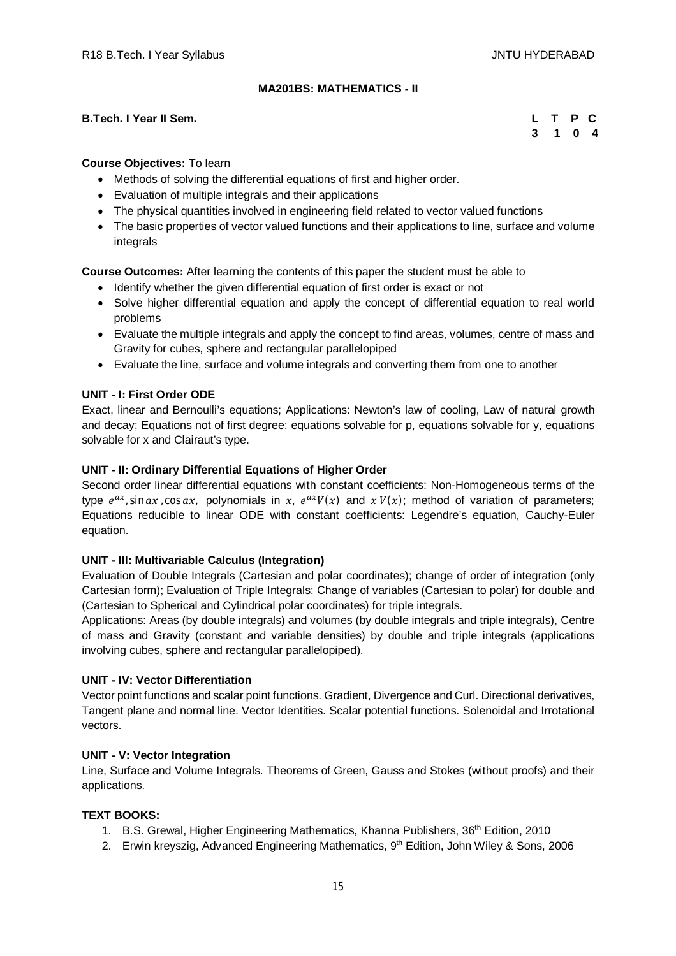# **MA201BS: MATHEMATICS - II**

## **B.Tech. I Year II Sem.**

|  | L T P C |  |
|--|---------|--|
|  | 3 1 0 4 |  |

## **Course Objectives:** To learn

- Methods of solving the differential equations of first and higher order.
- Evaluation of multiple integrals and their applications
- The physical quantities involved in engineering field related to vector valued functions
- The basic properties of vector valued functions and their applications to line, surface and volume integrals

**Course Outcomes:** After learning the contents of this paper the student must be able to

- Identify whether the given differential equation of first order is exact or not
- Solve higher differential equation and apply the concept of differential equation to real world problems
- Evaluate the multiple integrals and apply the concept to find areas, volumes, centre of mass and Gravity for cubes, sphere and rectangular parallelopiped
- Evaluate the line, surface and volume integrals and converting them from one to another

# **UNIT - I: First Order ODE**

Exact, linear and Bernoulli's equations; Applications: Newton's law of cooling, Law of natural growth and decay; Equations not of first degree: equations solvable for p, equations solvable for y, equations solvable for x and Clairaut's type.

# **UNIT - II: Ordinary Differential Equations of Higher Order**

Second order linear differential equations with constant coefficients: Non-Homogeneous terms of the type  $e^{ax}$ , sin ax, cos ax, polynomials in x,  $e^{ax}V(x)$  and  $x V(x)$ ; method of variation of parameters; Equations reducible to linear ODE with constant coefficients: Legendre's equation, Cauchy-Euler equation.

# **UNIT - III: Multivariable Calculus (Integration)**

Evaluation of Double Integrals (Cartesian and polar coordinates); change of order of integration (only Cartesian form); Evaluation of Triple Integrals: Change of variables (Cartesian to polar) for double and (Cartesian to Spherical and Cylindrical polar coordinates) for triple integrals.

Applications: Areas (by double integrals) and volumes (by double integrals and triple integrals), Centre of mass and Gravity (constant and variable densities) by double and triple integrals (applications involving cubes, sphere and rectangular parallelopiped).

#### **UNIT - IV: Vector Differentiation**

Vector point functions and scalar point functions. Gradient, Divergence and Curl. Directional derivatives, Tangent plane and normal line. Vector Identities. Scalar potential functions. Solenoidal and Irrotational vectors.

#### **UNIT - V: Vector Integration**

Line, Surface and Volume Integrals. Theorems of Green, Gauss and Stokes (without proofs) and their applications.

#### **TEXT BOOKS:**

- 1. B.S. Grewal, Higher Engineering Mathematics, Khanna Publishers, 36<sup>th</sup> Edition, 2010
- 2. Erwin kreyszig, Advanced Engineering Mathematics, 9th Edition, John Wiley & Sons, 2006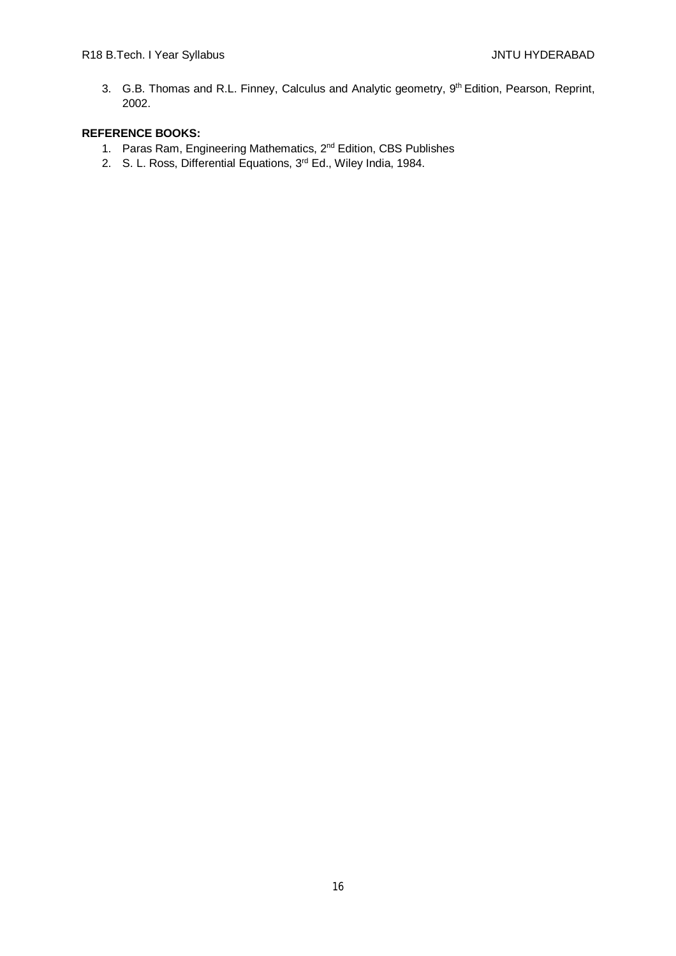3. G.B. Thomas and R.L. Finney, Calculus and Analytic geometry, 9<sup>th</sup> Edition, Pearson, Reprint, 2002.

- 1. Paras Ram, Engineering Mathematics, 2nd Edition, CBS Publishes
- 2. S. L. Ross, Differential Equations, 3<sup>rd</sup> Ed., Wiley India, 1984.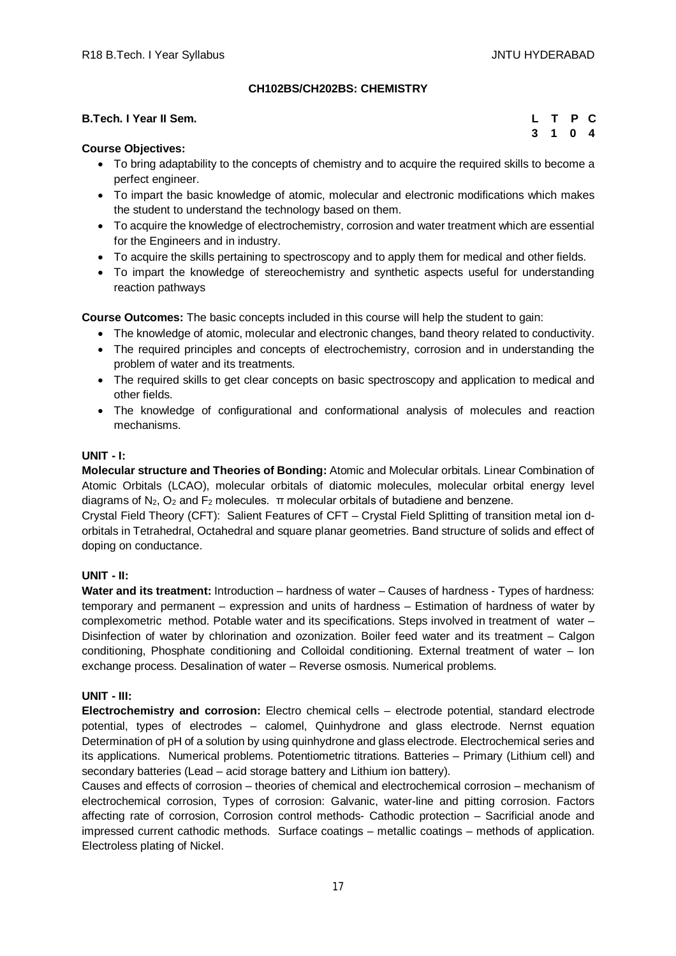# **CH102BS/CH202BS: CHEMISTRY**

| <b>B.Tech. I Year II Sem.</b> | L T P C |  |  |
|-------------------------------|---------|--|--|
|                               | 3 1 0 4 |  |  |

## **Course Objectives:**

- To bring adaptability to the concepts of chemistry and to acquire the required skills to become a perfect engineer.
- To impart the basic knowledge of atomic, molecular and electronic modifications which makes the student to understand the technology based on them.
- To acquire the knowledge of electrochemistry, corrosion and water treatment which are essential for the Engineers and in industry.
- To acquire the skills pertaining to spectroscopy and to apply them for medical and other fields.
- To impart the knowledge of stereochemistry and synthetic aspects useful for understanding reaction pathways

**Course Outcomes:** The basic concepts included in this course will help the student to gain:

- The knowledge of atomic, molecular and electronic changes, band theory related to conductivity.
- The required principles and concepts of electrochemistry, corrosion and in understanding the problem of water and its treatments.
- The required skills to get clear concepts on basic spectroscopy and application to medical and other fields.
- The knowledge of configurational and conformational analysis of molecules and reaction mechanisms.

## **UNIT - I:**

**Molecular structure and Theories of Bonding:** Atomic and Molecular orbitals. Linear Combination of Atomic Orbitals (LCAO), molecular orbitals of diatomic molecules, molecular orbital energy level diagrams of  $N_2$ ,  $O_2$  and  $F_2$  molecules.  $\pi$  molecular orbitals of butadiene and benzene.

Crystal Field Theory (CFT): Salient Features of CFT – Crystal Field Splitting of transition metal ion dorbitals in Tetrahedral, Octahedral and square planar geometries. Band structure of solids and effect of doping on conductance.

# **UNIT - II:**

Water and its treatment: Introduction – hardness of water – Causes of hardness - Types of hardness: temporary and permanent – expression and units of hardness – Estimation of hardness of water by complexometric method. Potable water and its specifications. Steps involved in treatment of water – Disinfection of water by chlorination and ozonization. Boiler feed water and its treatment – Calgon conditioning, Phosphate conditioning and Colloidal conditioning. External treatment of water – Ion exchange process. Desalination of water – Reverse osmosis. Numerical problems.

# **UNIT - III:**

**Electrochemistry and corrosion:** Electro chemical cells – electrode potential, standard electrode potential, types of electrodes – calomel, Quinhydrone and glass electrode. Nernst equation Determination of pH of a solution by using quinhydrone and glass electrode. Electrochemical series and its applications. Numerical problems. Potentiometric titrations. Batteries – Primary (Lithium cell) and secondary batteries (Lead – acid storage battery and Lithium ion battery).

Causes and effects of corrosion – theories of chemical and electrochemical corrosion – mechanism of electrochemical corrosion, Types of corrosion: Galvanic, water-line and pitting corrosion. Factors affecting rate of corrosion, Corrosion control methods- Cathodic protection – Sacrificial anode and impressed current cathodic methods. Surface coatings – metallic coatings – methods of application. Electroless plating of Nickel.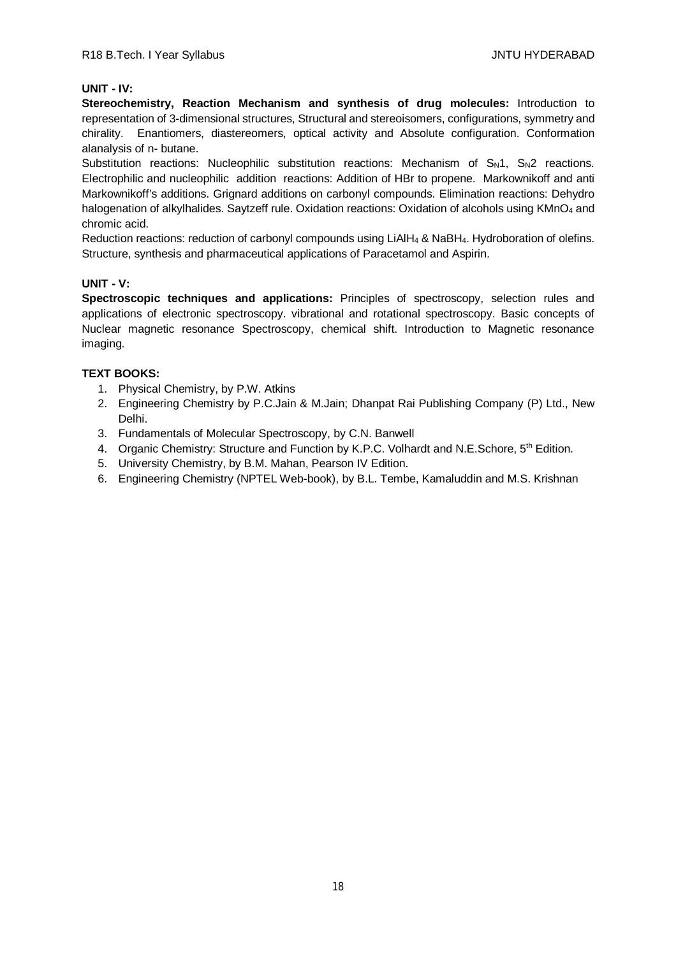# **UNIT - IV:**

**Stereochemistry, Reaction Mechanism and synthesis of drug molecules:** Introduction to representation of 3-dimensional structures, Structural and stereoisomers, configurations, symmetry and chirality. Enantiomers, diastereomers, optical activity and Absolute configuration. Conformation alanalysis of n- butane.

Substitution reactions: Nucleophilic substitution reactions: Mechanism of  $S_N1$ ,  $S_N2$  reactions. Electrophilic and nucleophilic addition reactions: Addition of HBr to propene. Markownikoff and anti Markownikoff's additions. Grignard additions on carbonyl compounds. Elimination reactions: Dehydro halogenation of alkylhalides. Saytzeff rule. Oxidation reactions: Oxidation of alcohols using KMnO<sub>4</sub> and chromic acid.

Reduction reactions: reduction of carbonyl compounds using LiAlH<sup>4</sup> & NaBH4. Hydroboration of olefins. Structure, synthesis and pharmaceutical applications of Paracetamol and Aspirin.

# **UNIT - V:**

**Spectroscopic techniques and applications:** Principles of spectroscopy, selection rules and applications of electronic spectroscopy. vibrational and rotational spectroscopy. Basic concepts of Nuclear magnetic resonance Spectroscopy, chemical shift. Introduction to Magnetic resonance imaging.

# **TEXT BOOKS:**

- 1. Physical Chemistry, by P.W. Atkins
- 2. Engineering Chemistry by P.C.Jain & M.Jain; Dhanpat Rai Publishing Company (P) Ltd., New Delhi.
- 3. Fundamentals of Molecular Spectroscopy, by C.N. Banwell
- 4. Organic Chemistry: Structure and Function by K.P.C. Volhardt and N.E. Schore, 5<sup>th</sup> Edition.
- 5. University Chemistry, by B.M. Mahan, Pearson IV Edition.
- 6. Engineering Chemistry (NPTEL Web-book), by B.L. Tembe, Kamaluddin and M.S. Krishnan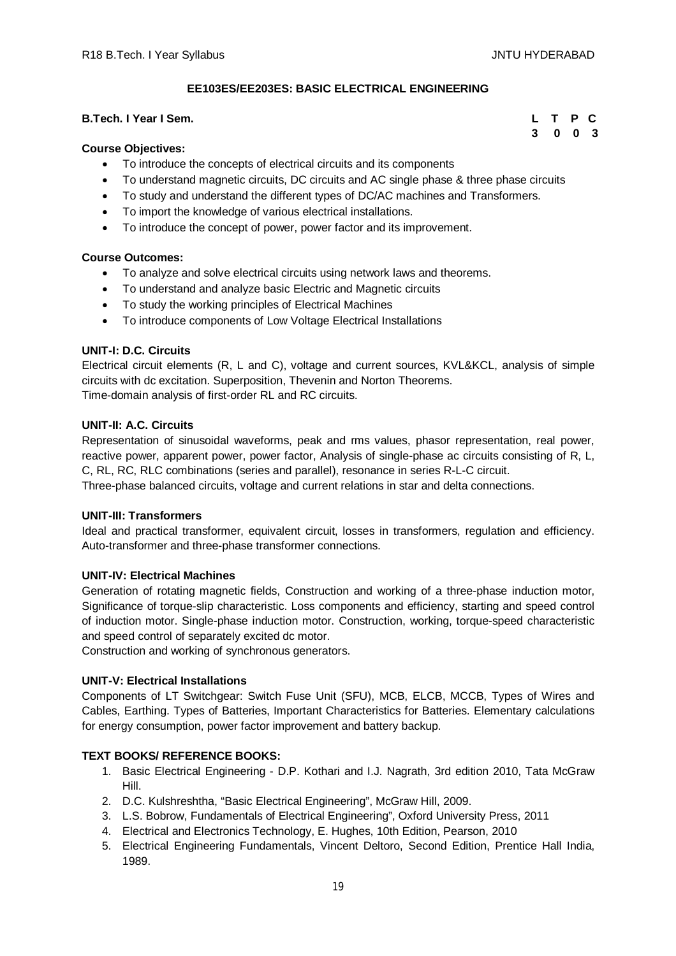**3 0 0 3**

## **EE103ES/EE203ES: BASIC ELECTRICAL ENGINEERING**

# **B.Tech. I Year I Sem. L T P C**

#### **Course Objectives:**

- To introduce the concepts of electrical circuits and its components
- To understand magnetic circuits, DC circuits and AC single phase & three phase circuits
- To study and understand the different types of DC/AC machines and Transformers.
- To import the knowledge of various electrical installations.
- To introduce the concept of power, power factor and its improvement.

#### **Course Outcomes:**

- To analyze and solve electrical circuits using network laws and theorems.
- To understand and analyze basic Electric and Magnetic circuits
- To study the working principles of Electrical Machines
- To introduce components of Low Voltage Electrical Installations

#### **UNIT-I: D.C. Circuits**

Electrical circuit elements (R, L and C), voltage and current sources, KVL&KCL, analysis of simple circuits with dc excitation. Superposition, Thevenin and Norton Theorems. Time-domain analysis of first-order RL and RC circuits.

#### **UNIT-II: A.C. Circuits**

Representation of sinusoidal waveforms, peak and rms values, phasor representation, real power, reactive power, apparent power, power factor, Analysis of single-phase ac circuits consisting of R, L, C, RL, RC, RLC combinations (series and parallel), resonance in series R-L-C circuit. Three-phase balanced circuits, voltage and current relations in star and delta connections.

#### **UNIT-III: Transformers**

Ideal and practical transformer, equivalent circuit, losses in transformers, regulation and efficiency. Auto-transformer and three-phase transformer connections.

#### **UNIT-IV: Electrical Machines**

Generation of rotating magnetic fields, Construction and working of a three-phase induction motor, Significance of torque-slip characteristic. Loss components and efficiency, starting and speed control of induction motor. Single-phase induction motor. Construction, working, torque-speed characteristic and speed control of separately excited dc motor.

Construction and working of synchronous generators.

#### **UNIT-V: Electrical Installations**

Components of LT Switchgear: Switch Fuse Unit (SFU), MCB, ELCB, MCCB, Types of Wires and Cables, Earthing. Types of Batteries, Important Characteristics for Batteries. Elementary calculations for energy consumption, power factor improvement and battery backup.

#### **TEXT BOOKS/ REFERENCE BOOKS:**

- 1. Basic Electrical Engineering D.P. Kothari and I.J. Nagrath, 3rd edition 2010, Tata McGraw Hill.
- 2. D.C. Kulshreshtha, "Basic Electrical Engineering", McGraw Hill, 2009.
- 3. L.S. Bobrow, Fundamentals of Electrical Engineering", Oxford University Press, 2011
- 4. Electrical and Electronics Technology, E. Hughes, 10th Edition, Pearson, 2010
- 5. Electrical Engineering Fundamentals, Vincent Deltoro, Second Edition, Prentice Hall India, 1989.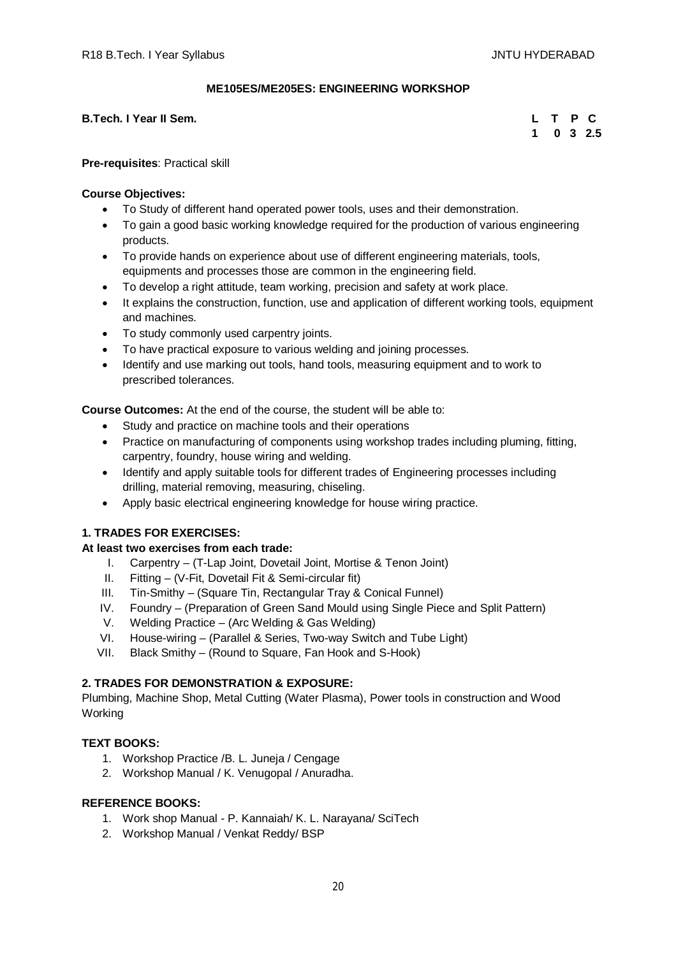# **ME105ES/ME205ES: ENGINEERING WORKSHOP**

**B.Tech. I Year II Sem.** 

|  |  | L T P C           |
|--|--|-------------------|
|  |  | $1 \t0 \t3 \t2.5$ |

**Pre-requisites**: Practical skill

## **Course Objectives:**

- To Study of different hand operated power tools, uses and their demonstration.
- To gain a good basic working knowledge required for the production of various engineering products.
- To provide hands on experience about use of different engineering materials, tools, equipments and processes those are common in the engineering field.
- To develop a right attitude, team working, precision and safety at work place.
- It explains the construction, function, use and application of different working tools, equipment and machines.
- To study commonly used carpentry joints.
- To have practical exposure to various welding and joining processes.
- Identify and use marking out tools, hand tools, measuring equipment and to work to prescribed tolerances.

**Course Outcomes:** At the end of the course, the student will be able to:

- Study and practice on machine tools and their operations
- Practice on manufacturing of components using workshop trades including pluming, fitting, carpentry, foundry, house wiring and welding.
- Identify and apply suitable tools for different trades of Engineering processes including drilling, material removing, measuring, chiseling.
- Apply basic electrical engineering knowledge for house wiring practice.

# **1. TRADES FOR EXERCISES:**

# **At least two exercises from each trade:**

- I. Carpentry (T-Lap Joint, Dovetail Joint, Mortise & Tenon Joint)
- II. Fitting (V-Fit, Dovetail Fit & Semi-circular fit)
- III. Tin-Smithy (Square Tin, Rectangular Tray & Conical Funnel)
- IV. Foundry (Preparation of Green Sand Mould using Single Piece and Split Pattern)
- V. Welding Practice (Arc Welding & Gas Welding)
- VI. House-wiring (Parallel & Series, Two-way Switch and Tube Light)
- VII. Black Smithy (Round to Square, Fan Hook and S-Hook)

# **2. TRADES FOR DEMONSTRATION & EXPOSURE:**

Plumbing, Machine Shop, Metal Cutting (Water Plasma), Power tools in construction and Wood Working

# **TEXT BOOKS:**

- 1. Workshop Practice /B. L. Juneja / Cengage
- 2. Workshop Manual / K. Venugopal / Anuradha.

- 1. Work shop Manual P. Kannaiah/ K. L. Narayana/ SciTech
- 2. Workshop Manual / Venkat Reddy/ BSP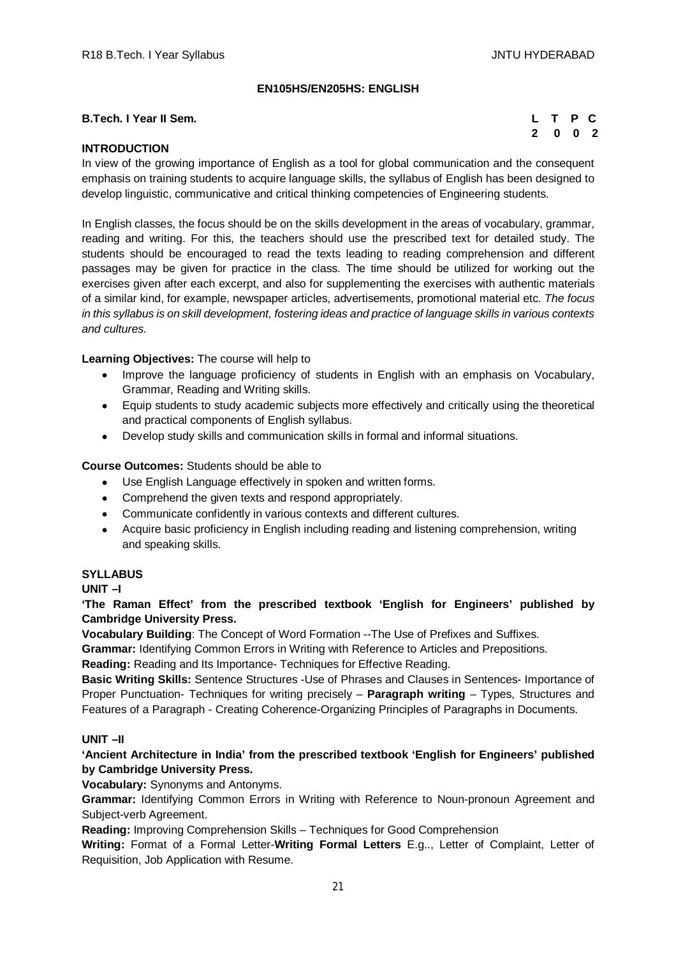# **EN105HS/EN205HS: ENGLISH**

#### **B.Tech. I Year II Sem.**

|  | L T P C                     |  |
|--|-----------------------------|--|
|  | $2 \quad 0 \quad 0 \quad 2$ |  |

# **INTRODUCTION**

In view of the growing importance of English as a tool for global communication and the consequent emphasis on training students to acquire language skills, the syllabus of English has been designed to develop linguistic, communicative and critical thinking competencies of Engineering students.

In English classes, the focus should be on the skills development in the areas of vocabulary, grammar, reading and writing. For this, the teachers should use the prescribed text for detailed study. The students should be encouraged to read the texts leading to reading comprehension and different passages may be given for practice in the class. The time should be utilized for working out the exercises given after each excerpt, and also for supplementing the exercises with authentic materials of a similar kind, for example, newspaper articles, advertisements, promotional material etc. *The focus in this syllabus is on skill development, fostering ideas and practice of language skills in various contexts and cultures.*

## **Learning Objectives:** The course will help to

- Improve the language proficiency of students in English with an emphasis on Vocabulary, Grammar, Reading and Writing skills.
- Equip students to study academic subjects more effectively and critically using the theoretical and practical components of English syllabus.
- Develop study skills and communication skills in formal and informal situations.

# **Course Outcomes:** Students should be able to

- Use English Language effectively in spoken and written forms.
- Comprehend the given texts and respond appropriately.
- Communicate confidently in various contexts and different cultures.
- Acquire basic proficiency in English including reading and listening comprehension, writing and speaking skills.

#### **SYLLABUS**

**UNIT –I** 

**'The Raman Effect' from the prescribed textbook 'English for Engineers' published by Cambridge University Press.**

**Vocabulary Building**: The Concept of Word Formation --The Use of Prefixes and Suffixes.

**Grammar:** Identifying Common Errors in Writing with Reference to Articles and Prepositions.

**Reading:** Reading and Its Importance- Techniques for Effective Reading.

**Basic Writing Skills:** Sentence Structures -Use of Phrases and Clauses in Sentences- Importance of Proper Punctuation- Techniques for writing precisely – **Paragraph writing** – Types, Structures and Features of a Paragraph - Creating Coherence-Organizing Principles of Paragraphs in Documents.

# **UNIT –II**

# **'Ancient Architecture in India' from the prescribed textbook 'English for Engineers' published by Cambridge University Press.**

# **Vocabulary:** Synonyms and Antonyms.

**Grammar:** Identifying Common Errors in Writing with Reference to Noun-pronoun Agreement and Subject-verb Agreement.

**Reading:** Improving Comprehension Skills – Techniques for Good Comprehension

**Writing:** Format of a Formal Letter-**Writing Formal Letters** E.g.., Letter of Complaint, Letter of Requisition, Job Application with Resume.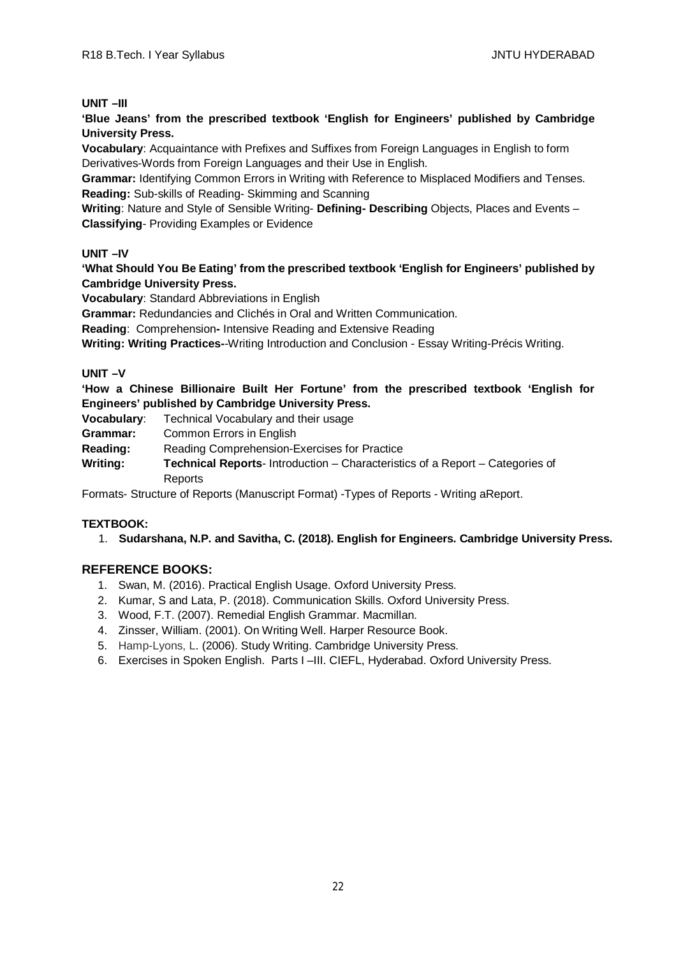# **UNIT –III**

**'Blue Jeans' from the prescribed textbook 'English for Engineers' published by Cambridge University Press.**

**Vocabulary**: Acquaintance with Prefixes and Suffixes from Foreign Languages in English to form Derivatives-Words from Foreign Languages and their Use in English.

**Grammar:** Identifying Common Errors in Writing with Reference to Misplaced Modifiers and Tenses. **Reading:** Sub-skills of Reading- Skimming and Scanning

**Writing**: Nature and Style of Sensible Writing- **Defining- Describing** Objects, Places and Events – **Classifying**- Providing Examples or Evidence

# **UNIT –IV**

**'What Should You Be Eating' from the prescribed textbook 'English for Engineers' published by Cambridge University Press.**

**Vocabulary**: Standard Abbreviations in English

**Grammar:** Redundancies and Clichés in Oral and Written Communication.

**Reading**: Comprehension**-** Intensive Reading and Extensive Reading

**Writing: Writing Practices-**-Writing Introduction and Conclusion - Essay Writing-Précis Writing.

# **UNIT –V**

**'How a Chinese Billionaire Built Her Fortune' from the prescribed textbook 'English for Engineers' published by Cambridge University Press.**

**Vocabulary**: Technical Vocabulary and their usage

**Grammar:** Common Errors in English

**Reading:** Reading Comprehension-Exercises for Practice

**Writing: Technical Reports**- Introduction – Characteristics of a Report – Categories of Reports

Formats- Structure of Reports (Manuscript Format) -Types of Reports - Writing aReport.

# **TEXTBOOK:**

1. **Sudarshana, N.P. and Savitha, C. (2018). English for Engineers. Cambridge University Press.**

- 1. Swan, M. (2016). Practical English Usage. Oxford University Press.
- 2. Kumar, S and Lata, P. (2018). Communication Skills. Oxford University Press.
- 3. Wood, F.T. (2007). Remedial English Grammar. Macmillan.
- 4. Zinsser, William. (2001). On Writing Well. Harper Resource Book.
- 5. Hamp-Lyons, L. (2006). Study Writing. Cambridge University Press.
- 6. Exercises in Spoken English. Parts I –III. CIEFL, Hyderabad. Oxford University Press.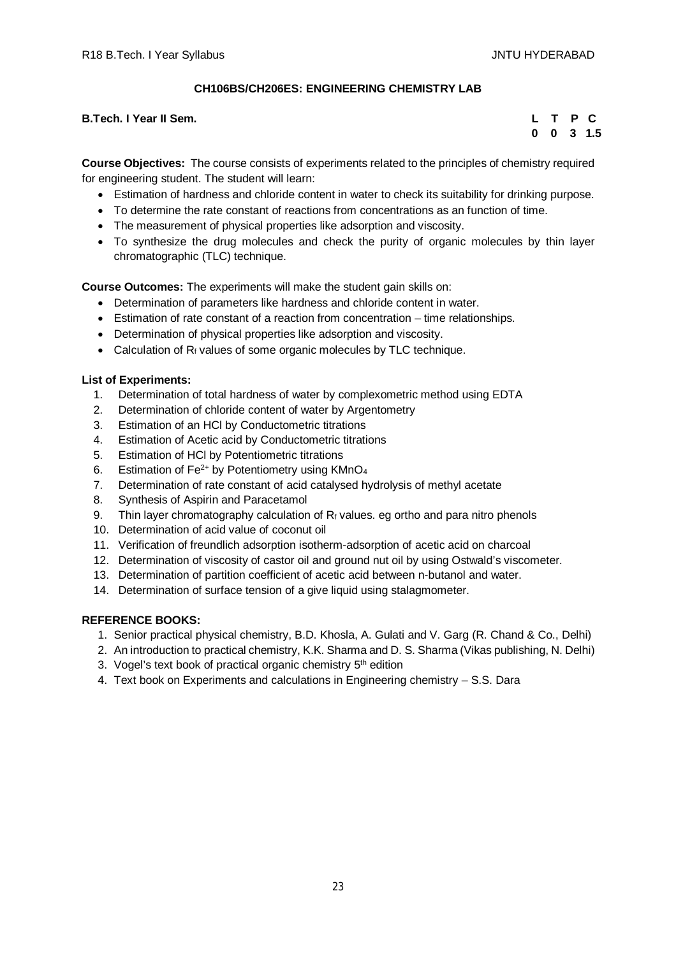# **CH106BS/CH206ES: ENGINEERING CHEMISTRY LAB**

## **B.Tech. I Year II Sem.**

|  |  | L T P C              |
|--|--|----------------------|
|  |  | $0 \t 0 \t 3 \t 1.5$ |

**Course Objectives:** The course consists of experiments related to the principles of chemistry required for engineering student. The student will learn:

- Estimation of hardness and chloride content in water to check its suitability for drinking purpose.
- To determine the rate constant of reactions from concentrations as an function of time.
- The measurement of physical properties like adsorption and viscosity.
- To synthesize the drug molecules and check the purity of organic molecules by thin layer chromatographic (TLC) technique.

**Course Outcomes:** The experiments will make the student gain skills on:

- Determination of parameters like hardness and chloride content in water.
- Estimation of rate constant of a reaction from concentration time relationships.
- Determination of physical properties like adsorption and viscosity.
- Calculation of  $R_f$  values of some organic molecules by TLC technique.

# **List of Experiments:**

- 1. Determination of total hardness of water by complexometric method using EDTA
- 2. Determination of chloride content of water by Argentometry
- 3. Estimation of an HCl by Conductometric titrations
- 4. Estimation of Acetic acid by Conductometric titrations
- 5. Estimation of HCl by Potentiometric titrations
- 6. Estimation of  $Fe^{2+}$  by Potentiometry using KMnO<sub>4</sub>
- 7. Determination of rate constant of acid catalysed hydrolysis of methyl acetate
- 8. Synthesis of Aspirin and Paracetamol
- 9. Thin layer chromatography calculation of  $R_f$  values. eg ortho and para nitro phenols
- 10. Determination of acid value of coconut oil
- 11. Verification of freundlich adsorption isotherm-adsorption of acetic acid on charcoal
- 12. Determination of viscosity of castor oil and ground nut oil by using Ostwald's viscometer.
- 13. Determination of partition coefficient of acetic acid between n-butanol and water.
- 14. Determination of surface tension of a give liquid using stalagmometer.

- 1. Senior practical physical chemistry, B.D. Khosla, A. Gulati and V. Garg (R. Chand & Co., Delhi)
- 2. An introduction to practical chemistry, K.K. Sharma and D. S. Sharma (Vikas publishing, N. Delhi)
- 3. Vogel's text book of practical organic chemistry 5<sup>th</sup> edition
- 4. Text book on Experiments and calculations in Engineering chemistry S.S. Dara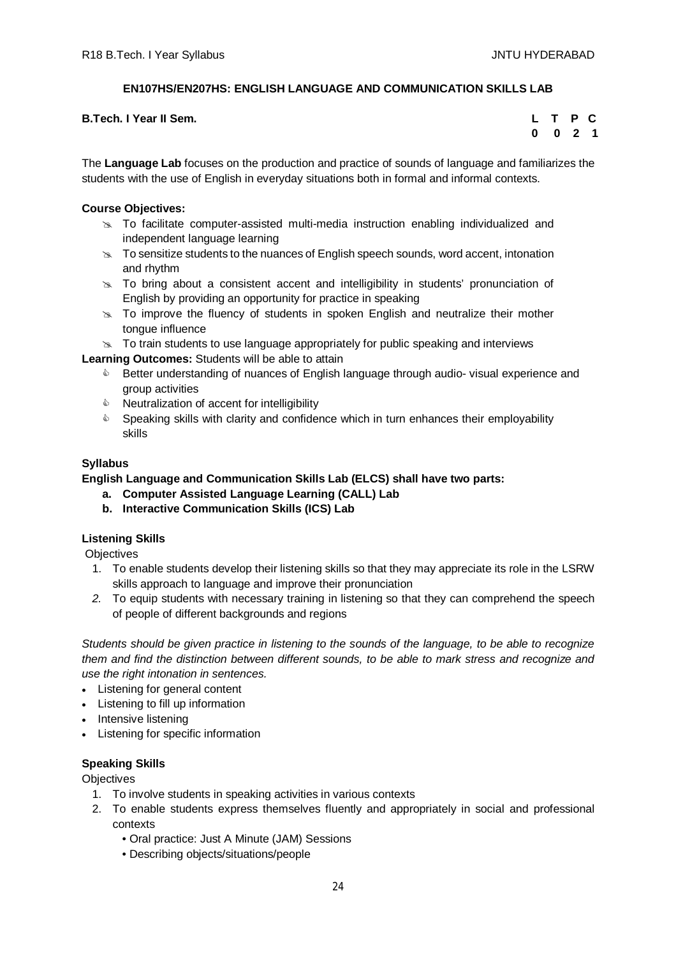# **EN107HS/EN207HS: ENGLISH LANGUAGE AND COMMUNICATION SKILLS LAB**

| <b>B.Tech. I Year II Sem.</b> |  |  | L T P C |  |
|-------------------------------|--|--|---------|--|
|-------------------------------|--|--|---------|--|

|  | L T P C   |  |
|--|-----------|--|
|  | $0$ 0 2 1 |  |

The **Language Lab** focuses on the production and practice of sounds of language and familiarizes the students with the use of English in everyday situations both in formal and informal contexts.

# **Course Objectives:**

- $\approx$  To facilitate computer-assisted multi-media instruction enabling individualized and independent language learning
- $\infty$  To sensitize students to the nuances of English speech sounds, word accent, intonation and rhythm
- $\geq$  To bring about a consistent accent and intelligibility in students' pronunciation of English by providing an opportunity for practice in speaking
- $\geq$  To improve the fluency of students in spoken English and neutralize their mother tongue influence
- $\infty$  To train students to use language appropriately for public speaking and interviews

**Learning Outcomes:** Students will be able to attain

- **EXECT** Better understanding of nuances of English language through audio-visual experience and group activities
- $\triangle$  Neutralization of accent for intelligibility
- $\bullet$  Speaking skills with clarity and confidence which in turn enhances their employability skills

# **Syllabus**

# **English Language and Communication Skills Lab (ELCS) shall have two parts:**

- **a. Computer Assisted Language Learning (CALL) Lab**
- **b. Interactive Communication Skills (ICS) Lab**

# **Listening Skills**

**Objectives** 

- 1. To enable students develop their listening skills so that they may appreciate its role in the LSRW skills approach to language and improve their pronunciation
- *2.* To equip students with necessary training in listening so that they can comprehend the speech of people of different backgrounds and regions

*Students should be given practice in listening to the sounds of the language, to be able to recognize them and find the distinction between different sounds, to be able to mark stress and recognize and use the right intonation in sentences.*

- Listening for general content
- Listening to fill up information
- Intensive listening
- Listening for specific information

# **Speaking Skills**

**Objectives** 

- 1. To involve students in speaking activities in various contexts
- 2. To enable students express themselves fluently and appropriately in social and professional contexts
	- Oral practice: Just A Minute (JAM) Sessions
	- Describing objects/situations/people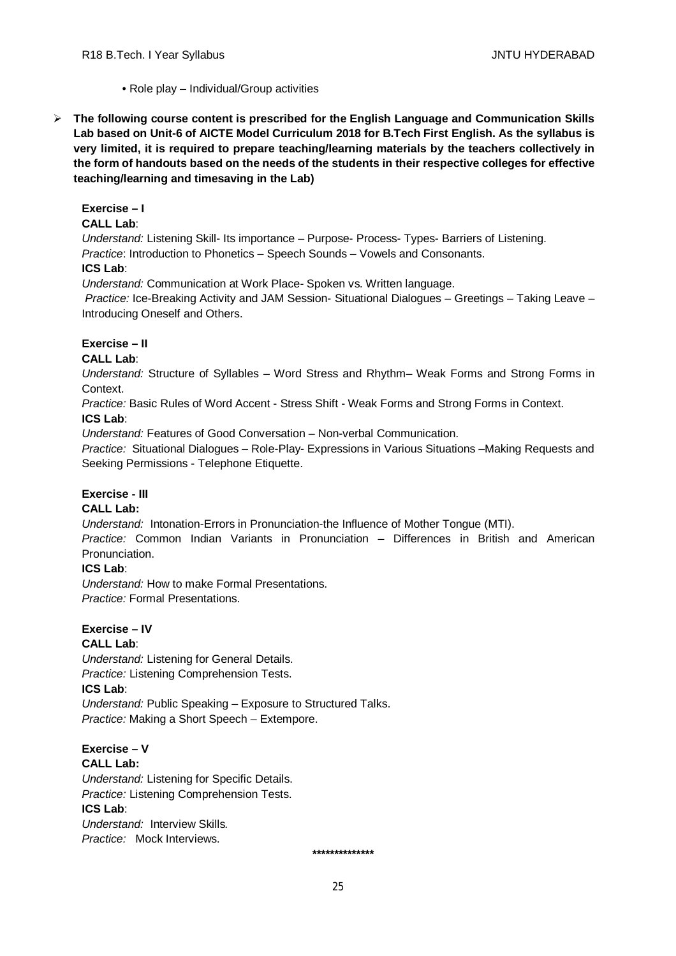- Role play Individual/Group activities
- **The following course content is prescribed for the English Language and Communication Skills Lab based on Unit-6 of AICTE Model Curriculum 2018 for B.Tech First English. As the syllabus is very limited, it is required to prepare teaching/learning materials by the teachers collectively in the form of handouts based on the needs of the students in their respective colleges for effective teaching/learning and timesaving in the Lab)**

# **Exercise – I**

# **CALL Lab**:

*Understand:* Listening Skill- Its importance – Purpose- Process- Types- Barriers of Listening. *Practice*: Introduction to Phonetics – Speech Sounds – Vowels and Consonants. **ICS Lab**:

*Understand:* Communication at Work Place*-* Spoken vs. Written language.

*Practice:* Ice-Breaking Activity and JAM Session- Situational Dialogues – Greetings – Taking Leave – Introducing Oneself and Others.

# **Exercise – II**

# **CALL Lab**:

*Understand:* Structure of Syllables – Word Stress and Rhythm– Weak Forms and Strong Forms in Context.

*Practice:* Basic Rules of Word Accent - Stress Shift - Weak Forms and Strong Forms in Context. **ICS Lab**:

*Understand:* Features of Good Conversation – Non-verbal Communication.

*Practice:* Situational Dialogues – Role-Play- Expressions in Various Situations –Making Requests and Seeking Permissions - Telephone Etiquette.

# **Exercise - III**

# **CALL Lab:**

*Understand:* Intonation-Errors in Pronunciation-the Influence of Mother Tongue (MTI).

*Practice:* Common Indian Variants in Pronunciation *–* Differences in British and American Pronunciation.

# **ICS Lab**:

*Understand:* How to make Formal Presentations. *Practice:* Formal Presentations.

#### **Exercise – IV CALL Lab**:

*Understand:* Listening for General Details. *Practice:* Listening Comprehension Tests. **ICS Lab**: *Understand:* Public Speaking – Exposure to Structured Talks. *Practice:* Making a Short Speech – Extempore.

**Exercise – V CALL Lab:** *Understand:* Listening for Specific Details. *Practice:* Listening Comprehension Tests. **ICS Lab**: *Understand:* Interview Skills*.*

*Practice:* Mock Interviews.

 **\*\*\*\*\*\*\*\*\*\*\*\*\*\***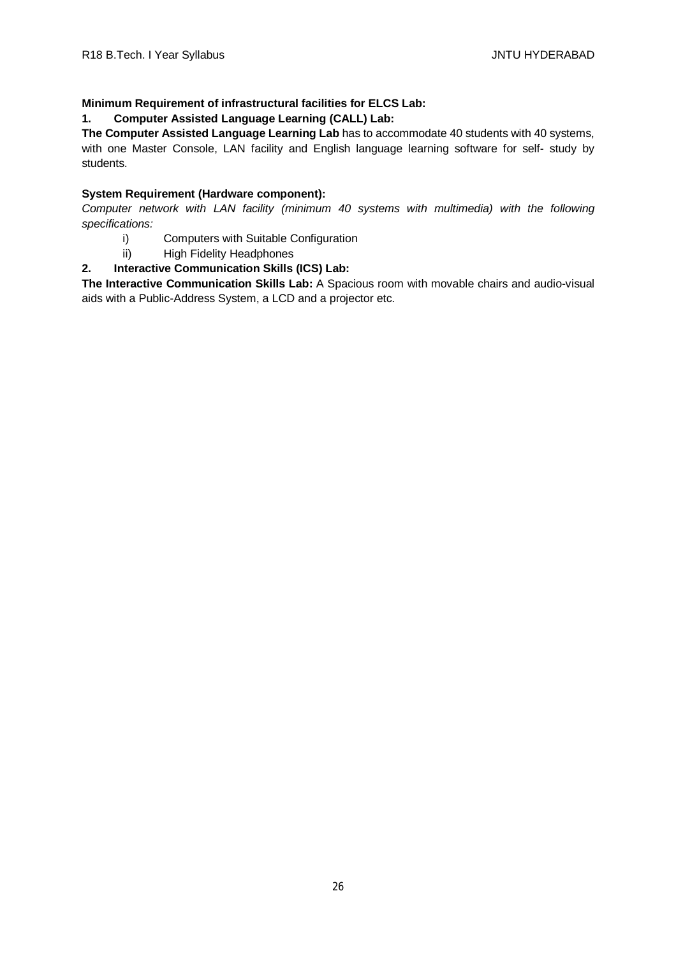# **Minimum Requirement of infrastructural facilities for ELCS Lab:**

# **1. Computer Assisted Language Learning (CALL) Lab:**

**The Computer Assisted Language Learning Lab** has to accommodate 40 students with 40 systems, with one Master Console, LAN facility and English language learning software for self- study by students.

# **System Requirement (Hardware component):**

*Computer network with LAN facility (minimum 40 systems with multimedia) with the following specifications:*

- i) Computers with Suitable Configuration
- ii) High Fidelity Headphones

# **2. Interactive Communication Skills (ICS) Lab:**

**The Interactive Communication Skills Lab:** A Spacious room with movable chairs and audio-visual aids with a Public-Address System, a LCD and a projector etc.